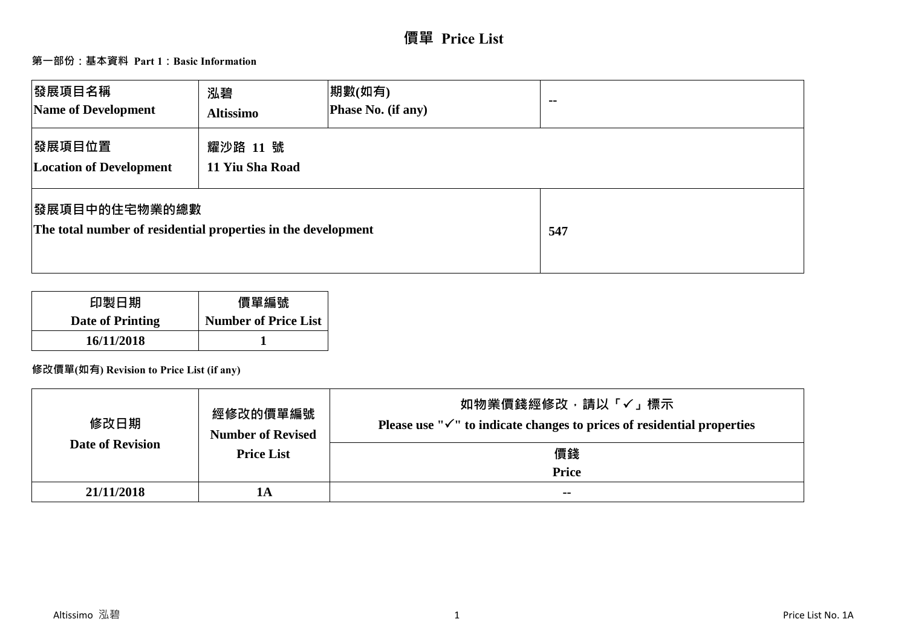# **價單 Price List**

## **第一部份:基本資料 Part 1:Basic Information**

| 發展項目名稱<br>Name of Development                                                         | 泓碧<br><b>Altissimo</b>      | 期數(如有)<br>Phase No. (if any) | $\sim$ $\sim$ |
|---------------------------------------------------------------------------------------|-----------------------------|------------------------------|---------------|
| 發展項目位置<br><b>Location of Development</b>                                              | 耀沙路 11 號<br>11 Yiu Sha Road |                              |               |
| <b>图展項目中的住宅物業的總數</b><br>The total number of residential properties in the development |                             |                              | 547           |

| 印製日期             | 價單編號                        |
|------------------|-----------------------------|
| Date of Printing | <b>Number of Price List</b> |
| 16/11/2018       |                             |

## **修改價單(如有) Revision to Price List (if any)**

| 修改日期                    | 經修改的價單編號<br><b>Number of Revised</b> | 如物業價錢經修改﹐請以「✓」標示<br>Please use " $\checkmark$ " to indicate changes to prices of residential properties |
|-------------------------|--------------------------------------|---------------------------------------------------------------------------------------------------------|
| <b>Date of Revision</b> | <b>Price List</b>                    | 價錢                                                                                                      |
|                         |                                      | <b>Price</b>                                                                                            |
| 21/11/2018              | 1А                                   | $- -$                                                                                                   |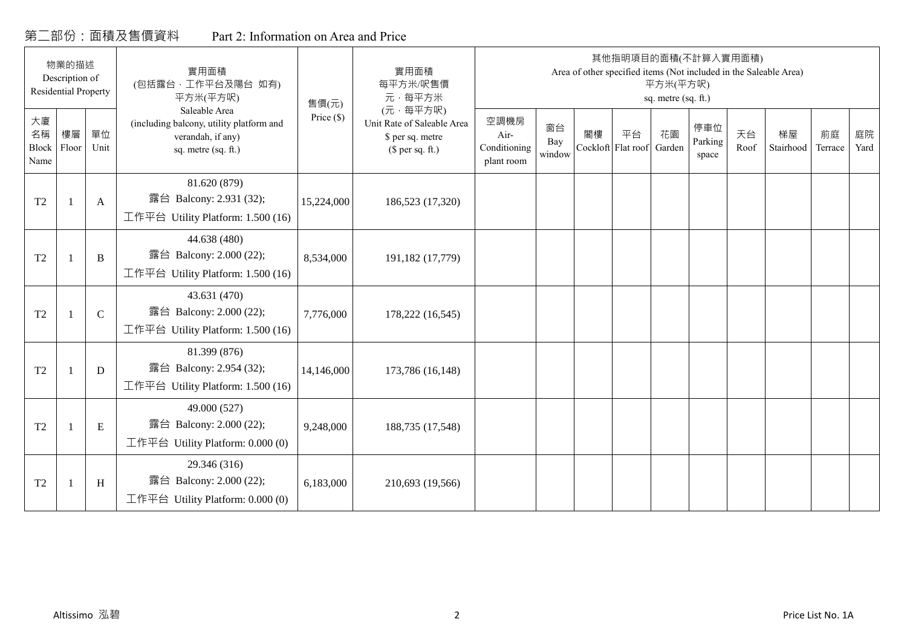## 第二部份:面積及售價資料 Part 2: Information on Area and Price

|                           | 物業的描述<br>Description of<br><b>Residential Property</b> |              | 實用面積<br>(包括露台,工作平台及陽台 如有)<br>平方米(平方呎)                                                                 | 售價(元)        | 實用面積<br>每平方米/呎售價<br>元·每平方米                                                     |                                            |                     |                          |    | 平方米(平方呎)<br>sq. metre (sq. ft.) | 其他指明項目的面積(不計算入實用面積)<br>Area of other specified items (Not included in the Saleable Area) |            |                 |               |            |
|---------------------------|--------------------------------------------------------|--------------|-------------------------------------------------------------------------------------------------------|--------------|--------------------------------------------------------------------------------|--------------------------------------------|---------------------|--------------------------|----|---------------------------------|------------------------------------------------------------------------------------------|------------|-----------------|---------------|------------|
| 大廈<br>名稱<br>Block<br>Name | 樓層<br>Floor                                            | 單位<br>Unit   | Saleable Area<br>(including balcony, utility platform and<br>verandah, if any)<br>sq. metre (sq. ft.) | Price $(\$)$ | (元·每平方呎)<br>Unit Rate of Saleable Area<br>\$ per sq. metre<br>$$$ per sq. ft.) | 空調機房<br>Air-<br>Conditioning<br>plant room | 窗台<br>Bay<br>window | 閣樓<br>Cockloft Flat roof | 平台 | 花園<br>Garden                    | 停車位<br>Parking<br>space                                                                  | 天台<br>Roof | 梯屋<br>Stairhood | 前庭<br>Terrace | 庭院<br>Yard |
| T <sub>2</sub>            |                                                        | $\mathbf{A}$ | 81.620 (879)<br>露台 Balcony: 2.931 (32);<br>工作平台 Utility Platform: 1.500 (16)                          | 15,224,000   | 186,523 (17,320)                                                               |                                            |                     |                          |    |                                 |                                                                                          |            |                 |               |            |
| T <sub>2</sub>            | $\overline{1}$                                         | B            | 44.638 (480)<br>露台 Balcony: 2.000 (22);<br>工作平台 Utility Platform: 1.500 (16)                          | 8,534,000    | 191,182 (17,779)                                                               |                                            |                     |                          |    |                                 |                                                                                          |            |                 |               |            |
| T <sub>2</sub>            |                                                        | $\mathbf C$  | 43.631 (470)<br>露台 Balcony: 2.000 (22);<br>工作平台 Utility Platform: 1.500 (16)                          | 7,776,000    | 178,222 (16,545)                                                               |                                            |                     |                          |    |                                 |                                                                                          |            |                 |               |            |
| T <sub>2</sub>            | $\overline{1}$                                         | D            | 81.399 (876)<br>露台 Balcony: 2.954 (32);<br>工作平台 Utility Platform: 1.500 (16)                          | 14,146,000   | 173,786 (16,148)                                                               |                                            |                     |                          |    |                                 |                                                                                          |            |                 |               |            |
| T <sub>2</sub>            |                                                        | E            | 49.000 (527)<br>露台 Balcony: 2.000 (22);<br>工作平台 Utility Platform: $0.000(0)$                          | 9,248,000    | 188,735 (17,548)                                                               |                                            |                     |                          |    |                                 |                                                                                          |            |                 |               |            |
| T <sub>2</sub>            |                                                        | H            | 29.346 (316)<br>露台 Balcony: 2.000 (22);<br>工作平台 Utility Platform: $0.000(0)$                          | 6,183,000    | 210,693 (19,566)                                                               |                                            |                     |                          |    |                                 |                                                                                          |            |                 |               |            |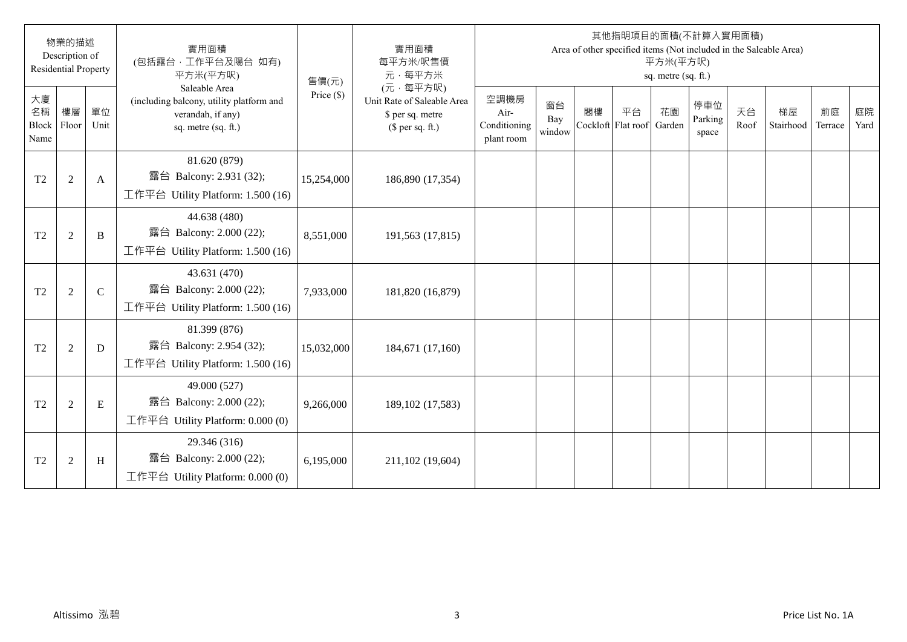|                           | 物業的描述<br>Description of<br><b>Residential Property</b> |              | 實用面積<br>(包括露台·工作平台及陽台 如有)<br>平方米(平方呎)                                                                 | 售價(元)        | 實用面積<br>每平方米/呎售價<br>元·每平方米                                                     |                                            |                     |                          |    | 平方米(平方呎)<br>sq. metre (sq. ft.) | 其他指明項目的面積(不計算入實用面積)     |            | Area of other specified items (Not included in the Saleable Area) |               |            |
|---------------------------|--------------------------------------------------------|--------------|-------------------------------------------------------------------------------------------------------|--------------|--------------------------------------------------------------------------------|--------------------------------------------|---------------------|--------------------------|----|---------------------------------|-------------------------|------------|-------------------------------------------------------------------|---------------|------------|
| 大廈<br>名稱<br>Block<br>Name | 樓層<br>Floor                                            | 單位<br>Unit   | Saleable Area<br>(including balcony, utility platform and<br>verandah, if any)<br>sq. metre (sq. ft.) | Price $(\$)$ | (元·每平方呎)<br>Unit Rate of Saleable Area<br>\$ per sq. metre<br>$$$ per sq. ft.) | 空調機房<br>Air-<br>Conditioning<br>plant room | 窗台<br>Bay<br>window | 閣樓<br>Cockloft Flat roof | 平台 | 花園<br>Garden                    | 停車位<br>Parking<br>space | 天台<br>Roof | 梯屋<br>Stairhood                                                   | 前庭<br>Terrace | 庭院<br>Yard |
| T <sub>2</sub>            | $\sqrt{2}$                                             | A            | 81.620 (879)<br>露台 Balcony: 2.931 (32);<br>工作平台 Utility Platform: $1.500(16)$                         | 15,254,000   | 186,890 (17,354)                                                               |                                            |                     |                          |    |                                 |                         |            |                                                                   |               |            |
| T <sub>2</sub>            | $\overline{2}$                                         | B            | 44.638 (480)<br>露台 Balcony: 2.000 (22);<br>工作平台 Utility Platform: 1.500 (16)                          | 8,551,000    | 191,563 (17,815)                                                               |                                            |                     |                          |    |                                 |                         |            |                                                                   |               |            |
| T <sub>2</sub>            | $\overline{2}$                                         | $\mathsf{C}$ | 43.631 (470)<br>露台 Balcony: 2.000 (22);<br>工作平台 Utility Platform: 1.500 (16)                          | 7,933,000    | 181,820 (16,879)                                                               |                                            |                     |                          |    |                                 |                         |            |                                                                   |               |            |
| T <sub>2</sub>            | $\overline{2}$                                         | D            | 81.399 (876)<br>露台 Balcony: 2.954 (32);<br>工作平台 Utility Platform: 1.500 (16)                          | 15,032,000   | 184,671 (17,160)                                                               |                                            |                     |                          |    |                                 |                         |            |                                                                   |               |            |
| T <sub>2</sub>            | $\overline{2}$                                         | E            | 49.000 (527)<br>露台 Balcony: 2.000 (22);<br>工作平台 Utility Platform: 0.000 (0)                           | 9,266,000    | 189, 102 (17, 583)                                                             |                                            |                     |                          |    |                                 |                         |            |                                                                   |               |            |
| T <sub>2</sub>            | $\overline{2}$                                         | H            | 29.346 (316)<br>露台 Balcony: 2.000 (22);<br>工作平台 Utility Platform: $0.000(0)$                          | 6,195,000    | 211,102 (19,604)                                                               |                                            |                     |                          |    |                                 |                         |            |                                                                   |               |            |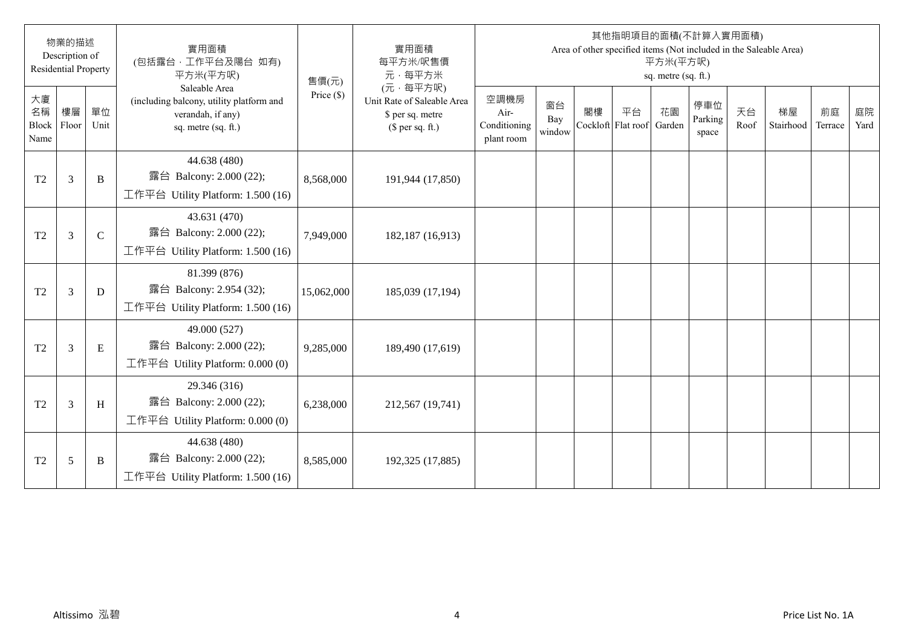|                                  | 物業的描述<br>Description of<br><b>Residential Property</b> |              | 實用面積<br>(包括露台·工作平台及陽台 如有)<br>平方米(平方呎)                                                                 | 售價(元)        | 實用面積<br>每平方米/呎售價<br>元·每平方米                                                     |                                            |                     |                          |    | 平方米(平方呎)<br>sq. metre (sq. ft.) | 其他指明項目的面積(不計算入實用面積)     |            | Area of other specified items (Not included in the Saleable Area) |               |            |
|----------------------------------|--------------------------------------------------------|--------------|-------------------------------------------------------------------------------------------------------|--------------|--------------------------------------------------------------------------------|--------------------------------------------|---------------------|--------------------------|----|---------------------------------|-------------------------|------------|-------------------------------------------------------------------|---------------|------------|
| 大廈<br>名稱<br><b>Block</b><br>Name | 樓層<br>Floor                                            | 單位<br>Unit   | Saleable Area<br>(including balcony, utility platform and<br>verandah, if any)<br>sq. metre (sq. ft.) | Price $(\$)$ | (元·每平方呎)<br>Unit Rate of Saleable Area<br>\$ per sq. metre<br>(\$ per sq. ft.) | 空調機房<br>Air-<br>Conditioning<br>plant room | 窗台<br>Bay<br>window | 閣樓<br>Cockloft Flat roof | 平台 | 花園<br>Garden                    | 停車位<br>Parking<br>space | 天台<br>Roof | 梯屋<br>Stairhood                                                   | 前庭<br>Terrace | 庭院<br>Yard |
| T <sub>2</sub>                   | $\mathfrak{Z}$                                         | B            | 44.638 (480)<br>露台 Balcony: 2.000 (22);<br>工作平台 Utility Platform: 1.500 (16)                          | 8,568,000    | 191,944 (17,850)                                                               |                                            |                     |                          |    |                                 |                         |            |                                                                   |               |            |
| T <sub>2</sub>                   | $\mathfrak{Z}$                                         | $\mathsf{C}$ | 43.631 (470)<br>露台 Balcony: 2.000 (22);<br>工作平台 Utility Platform: 1.500 (16)                          | 7,949,000    | 182,187 (16,913)                                                               |                                            |                     |                          |    |                                 |                         |            |                                                                   |               |            |
| T <sub>2</sub>                   | $\overline{3}$                                         | D            | 81.399 (876)<br>露台 Balcony: 2.954 (32);<br>工作平台 Utility Platform: 1.500 (16)                          | 15,062,000   | 185,039 (17,194)                                                               |                                            |                     |                          |    |                                 |                         |            |                                                                   |               |            |
| T <sub>2</sub>                   | 3                                                      | E            | 49.000 (527)<br>露台 Balcony: 2.000 (22);<br>工作平台 Utility Platform: $0.000(0)$                          | 9,285,000    | 189,490 (17,619)                                                               |                                            |                     |                          |    |                                 |                         |            |                                                                   |               |            |
| T <sub>2</sub>                   | $\overline{3}$                                         | H            | 29.346 (316)<br>露台 Balcony: 2.000 (22);<br>工作平台 Utility Platform: 0.000 (0)                           | 6,238,000    | 212,567 (19,741)                                                               |                                            |                     |                          |    |                                 |                         |            |                                                                   |               |            |
| T <sub>2</sub>                   | 5                                                      | B            | 44.638 (480)<br>露台 Balcony: 2.000 (22);<br>工作平台 Utility Platform: 1.500 (16)                          | 8,585,000    | 192,325 (17,885)                                                               |                                            |                     |                          |    |                                 |                         |            |                                                                   |               |            |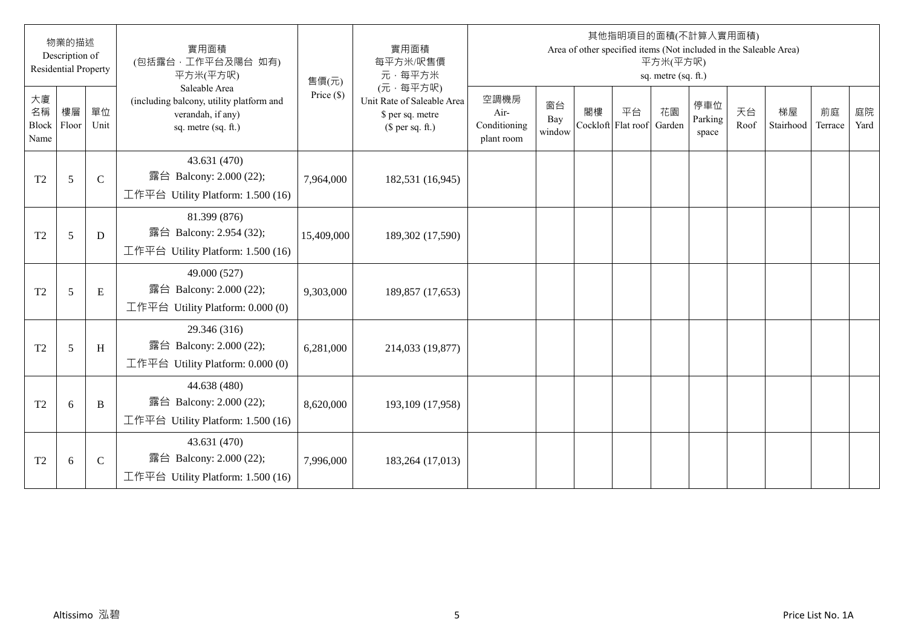|                           | 物業的描述<br>Description of<br><b>Residential Property</b> |              | 實用面積<br>(包括露台·工作平台及陽台 如有)<br>平方米(平方呎)                                                                 | 售價(元)        | 實用面積<br>每平方米/呎售價<br>元·每平方米                                                     |                                            |                     |    |                                 | 平方米(平方呎)<br>sq. metre (sq. ft.) | 其他指明項目的面積(不計算入實用面積)<br>Area of other specified items (Not included in the Saleable Area) |            |                 |               |            |
|---------------------------|--------------------------------------------------------|--------------|-------------------------------------------------------------------------------------------------------|--------------|--------------------------------------------------------------------------------|--------------------------------------------|---------------------|----|---------------------------------|---------------------------------|------------------------------------------------------------------------------------------|------------|-----------------|---------------|------------|
| 大廈<br>名稱<br>Block<br>Name | 樓層<br>Floor                                            | 單位<br>Unit   | Saleable Area<br>(including balcony, utility platform and<br>verandah, if any)<br>sq. metre (sq. ft.) | Price $(\$)$ | (元·每平方呎)<br>Unit Rate of Saleable Area<br>\$ per sq. metre<br>(\$ per sq. ft.) | 空調機房<br>Air-<br>Conditioning<br>plant room | 窗台<br>Bay<br>window | 閣樓 | 平台<br>Cockloft Flat roof Garden | 花園                              | 停車位<br>Parking<br>space                                                                  | 天台<br>Roof | 梯屋<br>Stairhood | 前庭<br>Terrace | 庭院<br>Yard |
| T <sub>2</sub>            | 5                                                      | $\mathsf{C}$ | 43.631 (470)<br>露台 Balcony: 2.000 (22);<br>工作平台 Utility Platform: 1.500 (16)                          | 7,964,000    | 182,531 (16,945)                                                               |                                            |                     |    |                                 |                                 |                                                                                          |            |                 |               |            |
| T <sub>2</sub>            | 5                                                      | D            | 81.399 (876)<br>露台 Balcony: 2.954 (32);<br>工作平台 Utility Platform: 1.500 (16)                          | 15,409,000   | 189,302 (17,590)                                                               |                                            |                     |    |                                 |                                 |                                                                                          |            |                 |               |            |
| T <sub>2</sub>            | 5                                                      | E            | 49.000 (527)<br>露台 Balcony: 2.000 (22);<br>工作平台 Utility Platform: $0.000(0)$                          | 9,303,000    | 189,857 (17,653)                                                               |                                            |                     |    |                                 |                                 |                                                                                          |            |                 |               |            |
| T <sub>2</sub>            | 5                                                      | H            | 29.346 (316)<br>露台 Balcony: 2.000 (22);<br>工作平台 Utility Platform: 0.000 (0)                           | 6,281,000    | 214,033 (19,877)                                                               |                                            |                     |    |                                 |                                 |                                                                                          |            |                 |               |            |
| T <sub>2</sub>            | 6                                                      | B            | 44.638 (480)<br>露台 Balcony: 2.000 (22);<br>工作平台 Utility Platform: 1.500 (16)                          | 8,620,000    | 193,109 (17,958)                                                               |                                            |                     |    |                                 |                                 |                                                                                          |            |                 |               |            |
| T <sub>2</sub>            | 6                                                      | $\mathbf C$  | 43.631 (470)<br>露台 Balcony: 2.000 (22);<br>工作平台 Utility Platform: 1.500 (16)                          | 7,996,000    | 183,264 (17,013)                                                               |                                            |                     |    |                                 |                                 |                                                                                          |            |                 |               |            |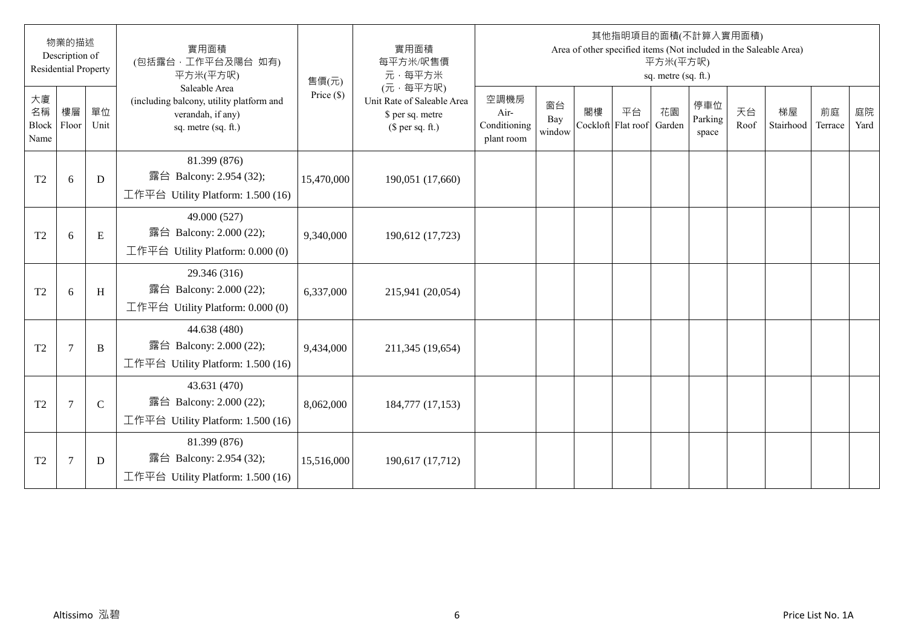|                                  | 物業的描述<br>Description of<br><b>Residential Property</b> |             | 實用面積<br>(包括露台·工作平台及陽台 如有)<br>平方米(平方呎)                                                                 | 售價(元)        | 實用面積<br>每平方米/呎售價<br>元·每平方米                                                     |                                            |                     |    |                          | 平方米(平方呎)<br>sq. metre (sq. ft.) | 其他指明項目的面積(不計算入實用面積)     |            | Area of other specified items (Not included in the Saleable Area) |               |            |
|----------------------------------|--------------------------------------------------------|-------------|-------------------------------------------------------------------------------------------------------|--------------|--------------------------------------------------------------------------------|--------------------------------------------|---------------------|----|--------------------------|---------------------------------|-------------------------|------------|-------------------------------------------------------------------|---------------|------------|
| 大廈<br>名稱<br><b>Block</b><br>Name | 樓層<br>Floor                                            | 單位<br>Unit  | Saleable Area<br>(including balcony, utility platform and<br>verandah, if any)<br>sq. metre (sq. ft.) | Price $(\$)$ | (元·每平方呎)<br>Unit Rate of Saleable Area<br>\$ per sq. metre<br>(\$ per sq. ft.) | 空調機房<br>Air-<br>Conditioning<br>plant room | 窗台<br>Bay<br>window | 閣樓 | 平台<br>Cockloft Flat roof | 花園<br>Garden                    | 停車位<br>Parking<br>space | 天台<br>Roof | 梯屋<br>Stairhood                                                   | 前庭<br>Terrace | 庭院<br>Yard |
| T <sub>2</sub>                   | 6                                                      | D           | 81.399 (876)<br>露台 Balcony: 2.954 (32);<br>工作平台 Utility Platform: $1.500(16)$                         | 15,470,000   | 190,051 (17,660)                                                               |                                            |                     |    |                          |                                 |                         |            |                                                                   |               |            |
| T <sub>2</sub>                   | 6                                                      | E           | 49.000 (527)<br>露台 Balcony: 2.000 (22);<br>工作平台 Utility Platform: 0.000 (0)                           | 9,340,000    | 190,612 (17,723)                                                               |                                            |                     |    |                          |                                 |                         |            |                                                                   |               |            |
| T <sub>2</sub>                   | 6                                                      | H           | 29.346 (316)<br>露台 Balcony: 2.000 (22);<br>工作平台 Utility Platform: $0.000(0)$                          | 6,337,000    | 215,941 (20,054)                                                               |                                            |                     |    |                          |                                 |                         |            |                                                                   |               |            |
| T <sub>2</sub>                   | $\overline{7}$                                         | B           | 44.638 (480)<br>露台 Balcony: 2.000 (22);<br>工作平台 Utility Platform: 1.500 (16)                          | 9,434,000    | 211,345 (19,654)                                                               |                                            |                     |    |                          |                                 |                         |            |                                                                   |               |            |
| T <sub>2</sub>                   | $\overline{7}$                                         | $\mathbf C$ | 43.631 (470)<br>露台 Balcony: 2.000 (22);<br>工作平台 Utility Platform: $1.500(16)$                         | 8,062,000    | 184,777 (17,153)                                                               |                                            |                     |    |                          |                                 |                         |            |                                                                   |               |            |
| T <sub>2</sub>                   | $\overline{7}$                                         | D           | 81.399 (876)<br>露台 Balcony: 2.954 (32);<br>工作平台 Utility Platform: 1.500 (16)                          | 15,516,000   | 190,617 (17,712)                                                               |                                            |                     |    |                          |                                 |                         |            |                                                                   |               |            |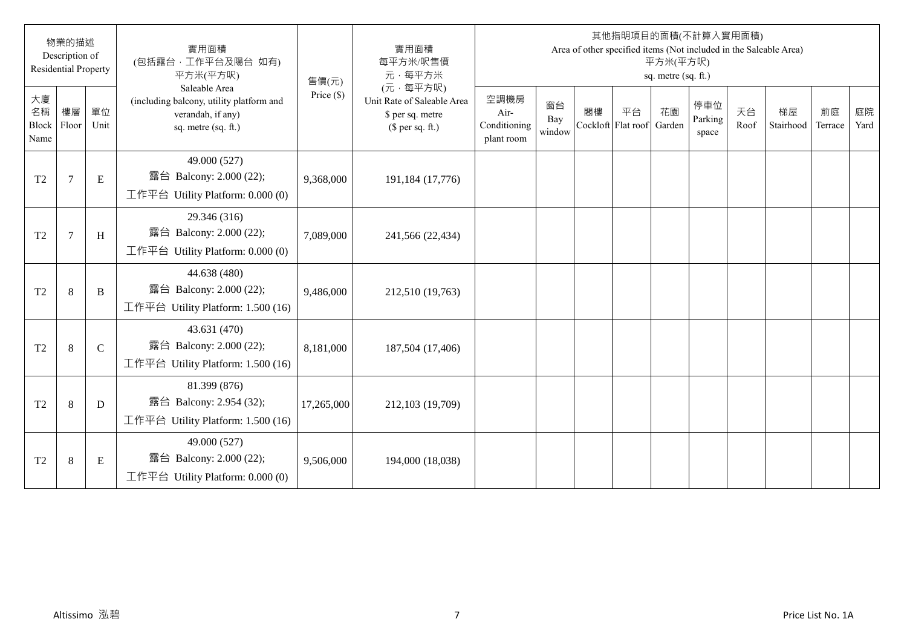|                           | 物業的描述<br>Description of<br><b>Residential Property</b> |              | 實用面積<br>(包括露台·工作平台及陽台 如有)<br>平方米(平方呎)                                                                 | 售價(元)        | 實用面積<br>每平方米/呎售價<br>元·每平方米                                                     |                                            |                     |    |                                 | 平方米(平方呎)<br>sq. metre (sq. ft.) | 其他指明項目的面積(不計算入實用面積)     |            | Area of other specified items (Not included in the Saleable Area) |               |            |
|---------------------------|--------------------------------------------------------|--------------|-------------------------------------------------------------------------------------------------------|--------------|--------------------------------------------------------------------------------|--------------------------------------------|---------------------|----|---------------------------------|---------------------------------|-------------------------|------------|-------------------------------------------------------------------|---------------|------------|
| 大廈<br>名稱<br>Block<br>Name | 樓層<br>Floor                                            | 單位<br>Unit   | Saleable Area<br>(including balcony, utility platform and<br>verandah, if any)<br>sq. metre (sq. ft.) | Price $(\$)$ | (元·每平方呎)<br>Unit Rate of Saleable Area<br>\$ per sq. metre<br>(\$ per sq. ft.) | 空調機房<br>Air-<br>Conditioning<br>plant room | 窗台<br>Bay<br>window | 閣樓 | 平台<br>Cockloft Flat roof Garden | 花園                              | 停車位<br>Parking<br>space | 天台<br>Roof | 梯屋<br>Stairhood                                                   | 前庭<br>Terrace | 庭院<br>Yard |
| T <sub>2</sub>            | $7\phantom{.0}$                                        | ${\bf E}$    | 49.000 (527)<br>露台 Balcony: 2.000 (22);<br>工作平台 Utility Platform: $0.000(0)$                          | 9,368,000    | 191,184 (17,776)                                                               |                                            |                     |    |                                 |                                 |                         |            |                                                                   |               |            |
| T <sub>2</sub>            | $\overline{7}$                                         | H            | 29.346 (316)<br>露台 Balcony: 2.000 (22);<br>工作平台 Utility Platform: $0.000(0)$                          | 7,089,000    | 241,566 (22,434)                                                               |                                            |                     |    |                                 |                                 |                         |            |                                                                   |               |            |
| T <sub>2</sub>            | 8                                                      | $\, {\bf B}$ | 44.638 (480)<br>露台 Balcony: 2.000 (22);<br>工作平台 Utility Platform: 1.500 (16)                          | 9,486,000    | 212,510 (19,763)                                                               |                                            |                     |    |                                 |                                 |                         |            |                                                                   |               |            |
| T <sub>2</sub>            | 8                                                      | $\mathsf C$  | 43.631 (470)<br>露台 Balcony: 2.000 (22);<br>工作平台 Utility Platform: 1.500 (16)                          | 8,181,000    | 187,504 (17,406)                                                               |                                            |                     |    |                                 |                                 |                         |            |                                                                   |               |            |
| T <sub>2</sub>            | 8                                                      | $\mathbf D$  | 81.399 (876)<br>露台 Balcony: 2.954 (32);<br>工作平台 Utility Platform: 1.500 (16)                          | 17,265,000   | 212,103 (19,709)                                                               |                                            |                     |    |                                 |                                 |                         |            |                                                                   |               |            |
| T <sub>2</sub>            | 8                                                      | Ε            | 49.000 (527)<br>露台 Balcony: 2.000 (22);<br>工作平台 Utility Platform: $0.000(0)$                          | 9,506,000    | 194,000 (18,038)                                                               |                                            |                     |    |                                 |                                 |                         |            |                                                                   |               |            |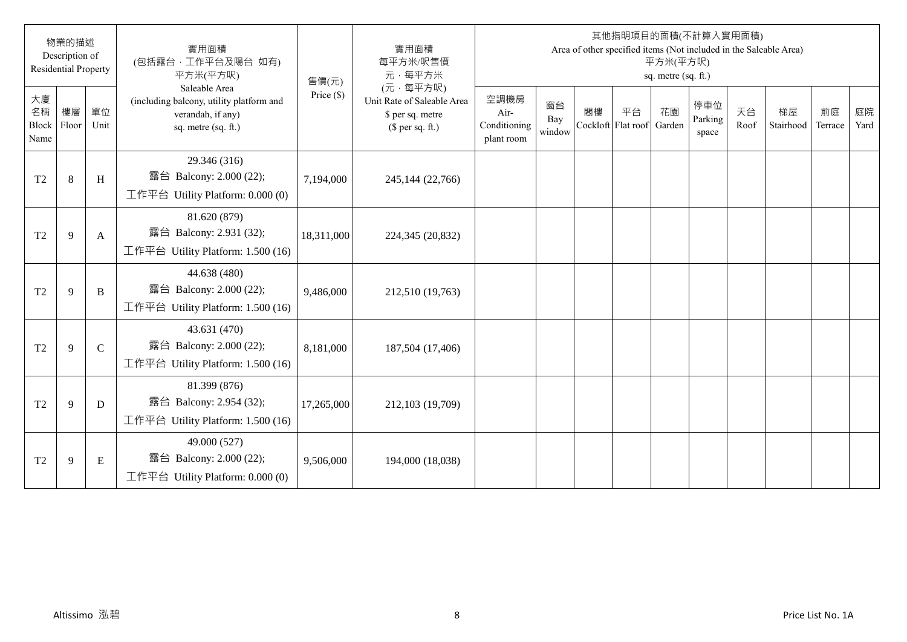|                           | 物業的描述<br>Description of<br><b>Residential Property</b> |              | 實用面積<br>(包括露台·工作平台及陽台 如有)<br>平方米(平方呎)                                                                 | 售價(元)        | 實用面積<br>每平方米/呎售價<br>元·每平方米                                                     |                                            |                     |    |                                 | 平方米(平方呎)<br>sq. metre (sq. ft.) | 其他指明項目的面積(不計算入實用面積)     |            | Area of other specified items (Not included in the Saleable Area) |               |            |
|---------------------------|--------------------------------------------------------|--------------|-------------------------------------------------------------------------------------------------------|--------------|--------------------------------------------------------------------------------|--------------------------------------------|---------------------|----|---------------------------------|---------------------------------|-------------------------|------------|-------------------------------------------------------------------|---------------|------------|
| 大廈<br>名稱<br>Block<br>Name | 樓層<br>Floor                                            | 單位<br>Unit   | Saleable Area<br>(including balcony, utility platform and<br>verandah, if any)<br>sq. metre (sq. ft.) | Price $(\$)$ | (元·每平方呎)<br>Unit Rate of Saleable Area<br>\$ per sq. metre<br>(\$ per sq. ft.) | 空調機房<br>Air-<br>Conditioning<br>plant room | 窗台<br>Bay<br>window | 閣樓 | 平台<br>Cockloft Flat roof Garden | 花園                              | 停車位<br>Parking<br>space | 天台<br>Roof | 梯屋<br>Stairhood                                                   | 前庭<br>Terrace | 庭院<br>Yard |
| T <sub>2</sub>            | $\,8\,$                                                | $\,$ H       | 29.346 (316)<br>露台 Balcony: 2.000 (22);<br>工作平台 Utility Platform: $0.000(0)$                          | 7,194,000    | 245,144 (22,766)                                                               |                                            |                     |    |                                 |                                 |                         |            |                                                                   |               |            |
| T <sub>2</sub>            | 9                                                      | A            | 81.620 (879)<br>露台 Balcony: 2.931 (32);<br>工作平台 Utility Platform: 1.500 (16)                          | 18,311,000   | 224,345 (20,832)                                                               |                                            |                     |    |                                 |                                 |                         |            |                                                                   |               |            |
| T <sub>2</sub>            | 9                                                      | $\, {\bf B}$ | 44.638 (480)<br>露台 Balcony: 2.000 (22);<br>工作平台 Utility Platform: 1.500 (16)                          | 9,486,000    | 212,510 (19,763)                                                               |                                            |                     |    |                                 |                                 |                         |            |                                                                   |               |            |
| T <sub>2</sub>            | 9                                                      | $\mathbf C$  | 43.631 (470)<br>露台 Balcony: 2.000 (22);<br>工作平台 Utility Platform: 1.500 (16)                          | 8,181,000    | 187,504 (17,406)                                                               |                                            |                     |    |                                 |                                 |                         |            |                                                                   |               |            |
| T <sub>2</sub>            | 9                                                      | D            | 81.399 (876)<br>露台 Balcony: 2.954 (32);<br>工作平台 Utility Platform: 1.500 (16)                          | 17,265,000   | 212,103 (19,709)                                                               |                                            |                     |    |                                 |                                 |                         |            |                                                                   |               |            |
| T <sub>2</sub>            | 9                                                      | Ε            | 49.000 (527)<br>露台 Balcony: 2.000 (22);<br>工作平台 Utility Platform: $0.000(0)$                          | 9,506,000    | 194,000 (18,038)                                                               |                                            |                     |    |                                 |                                 |                         |            |                                                                   |               |            |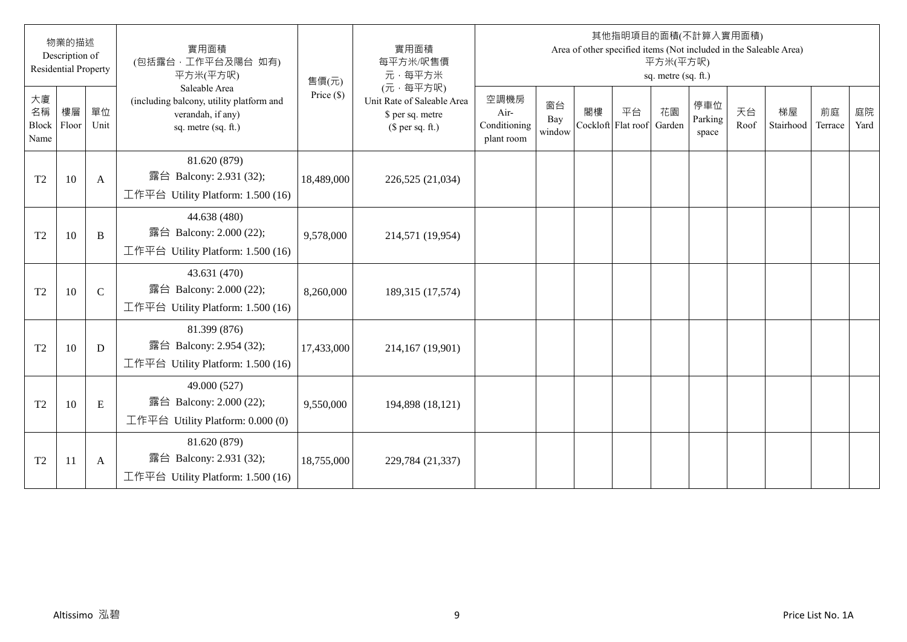|                                  | 物業的描述<br>Description of<br><b>Residential Property</b> |              | 實用面積<br>(包括露台·工作平台及陽台 如有)<br>平方米(平方呎)                                                                 | 售價(元)        | 實用面積<br>每平方米/呎售價<br>元·每平方米                                                     |                                            |                     |                          |    | 平方米(平方呎)<br>sq. metre (sq. ft.) | 其他指明項目的面積(不計算入實用面積)     |            | Area of other specified items (Not included in the Saleable Area) |               |            |
|----------------------------------|--------------------------------------------------------|--------------|-------------------------------------------------------------------------------------------------------|--------------|--------------------------------------------------------------------------------|--------------------------------------------|---------------------|--------------------------|----|---------------------------------|-------------------------|------------|-------------------------------------------------------------------|---------------|------------|
| 大廈<br>名稱<br><b>Block</b><br>Name | 樓層<br>Floor                                            | 單位<br>Unit   | Saleable Area<br>(including balcony, utility platform and<br>verandah, if any)<br>sq. metre (sq. ft.) | Price $(\$)$ | (元·每平方呎)<br>Unit Rate of Saleable Area<br>\$ per sq. metre<br>$$$ per sq. ft.) | 空調機房<br>Air-<br>Conditioning<br>plant room | 窗台<br>Bay<br>window | 閣樓<br>Cockloft Flat roof | 平台 | 花園<br>Garden                    | 停車位<br>Parking<br>space | 天台<br>Roof | 梯屋<br>Stairhood                                                   | 前庭<br>Terrace | 庭院<br>Yard |
| T <sub>2</sub>                   | 10                                                     | $\mathbf{A}$ | 81.620 (879)<br>露台 Balcony: 2.931 (32);<br>工作平台 Utility Platform: 1.500 (16)                          | 18,489,000   | 226,525 (21,034)                                                               |                                            |                     |                          |    |                                 |                         |            |                                                                   |               |            |
| T <sub>2</sub>                   | 10                                                     | $\, {\bf B}$ | 44.638 (480)<br>露台 Balcony: 2.000 (22);<br>工作平台 Utility Platform: 1.500 (16)                          | 9,578,000    | 214,571 (19,954)                                                               |                                            |                     |                          |    |                                 |                         |            |                                                                   |               |            |
| T <sub>2</sub>                   | 10                                                     | $\mathsf{C}$ | 43.631 (470)<br>露台 Balcony: 2.000 (22);<br>工作平台 Utility Platform: $1.500(16)$                         | 8,260,000    | 189,315 (17,574)                                                               |                                            |                     |                          |    |                                 |                         |            |                                                                   |               |            |
| T <sub>2</sub>                   | 10                                                     | D            | 81.399 (876)<br>露台 Balcony: 2.954 (32);<br>工作平台 Utility Platform: 1.500 (16)                          | 17,433,000   | 214,167 (19,901)                                                               |                                            |                     |                          |    |                                 |                         |            |                                                                   |               |            |
| T <sub>2</sub>                   | 10                                                     | E            | 49.000 (527)<br>露台 Balcony: 2.000 (22);<br>工作平台 Utility Platform: $0.000(0)$                          | 9,550,000    | 194,898 (18,121)                                                               |                                            |                     |                          |    |                                 |                         |            |                                                                   |               |            |
| T <sub>2</sub>                   | 11                                                     | A            | 81.620 (879)<br>露台 Balcony: 2.931 (32);<br>工作平台 Utility Platform: $1.500(16)$                         | 18,755,000   | 229,784 (21,337)                                                               |                                            |                     |                          |    |                                 |                         |            |                                                                   |               |            |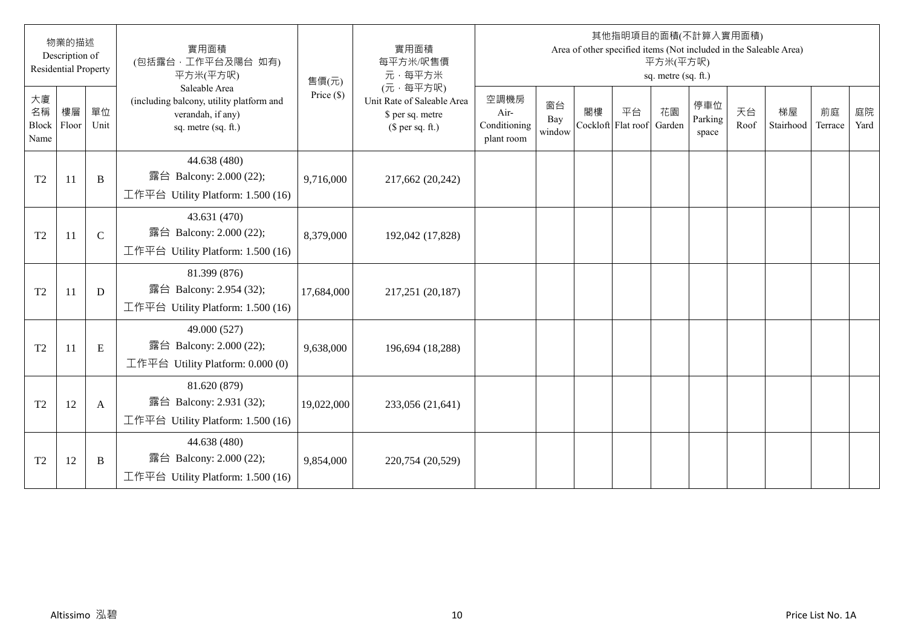|                                  | 物業的描述<br>Description of<br><b>Residential Property</b> |              | 實用面積<br>(包括露台·工作平台及陽台 如有)<br>平方米(平方呎)                                                                 | 售價(元)        | 實用面積<br>每平方米/呎售價<br>元·每平方米                                                     |                                            |                     |                          |    | 平方米(平方呎)<br>sq. metre (sq. ft.) | 其他指明項目的面積(不計算入實用面積)     |            | Area of other specified items (Not included in the Saleable Area) |               |            |
|----------------------------------|--------------------------------------------------------|--------------|-------------------------------------------------------------------------------------------------------|--------------|--------------------------------------------------------------------------------|--------------------------------------------|---------------------|--------------------------|----|---------------------------------|-------------------------|------------|-------------------------------------------------------------------|---------------|------------|
| 大廈<br>名稱<br><b>Block</b><br>Name | 樓層<br>Floor                                            | 單位<br>Unit   | Saleable Area<br>(including balcony, utility platform and<br>verandah, if any)<br>sq. metre (sq. ft.) | Price $(\$)$ | (元·每平方呎)<br>Unit Rate of Saleable Area<br>\$ per sq. metre<br>(\$ per sq. ft.) | 空調機房<br>Air-<br>Conditioning<br>plant room | 窗台<br>Bay<br>window | 閣樓<br>Cockloft Flat roof | 平台 | 花園<br>Garden                    | 停車位<br>Parking<br>space | 天台<br>Roof | 梯屋<br>Stairhood                                                   | 前庭<br>Terrace | 庭院<br>Yard |
| T <sub>2</sub>                   | 11                                                     | B            | 44.638 (480)<br>露台 Balcony: 2.000 (22);<br>工作平台 Utility Platform: 1.500 (16)                          | 9,716,000    | 217,662 (20,242)                                                               |                                            |                     |                          |    |                                 |                         |            |                                                                   |               |            |
| T <sub>2</sub>                   | 11                                                     | $\mathsf{C}$ | 43.631 (470)<br>露台 Balcony: 2.000 (22);<br>工作平台 Utility Platform: 1.500 (16)                          | 8,379,000    | 192,042 (17,828)                                                               |                                            |                     |                          |    |                                 |                         |            |                                                                   |               |            |
| T <sub>2</sub>                   | 11                                                     | D            | 81.399 (876)<br>露台 Balcony: 2.954 (32);<br>工作平台 Utility Platform: 1.500 (16)                          | 17,684,000   | 217,251 (20,187)                                                               |                                            |                     |                          |    |                                 |                         |            |                                                                   |               |            |
| T <sub>2</sub>                   | 11                                                     | E            | 49.000 (527)<br>露台 Balcony: 2.000 (22);<br>工作平台 Utility Platform: $0.000(0)$                          | 9,638,000    | 196,694 (18,288)                                                               |                                            |                     |                          |    |                                 |                         |            |                                                                   |               |            |
| T <sub>2</sub>                   | 12                                                     | $\mathbf{A}$ | 81.620 (879)<br>露台 Balcony: 2.931 (32);<br>工作平台 Utility Platform: 1.500 (16)                          | 19,022,000   | 233,056 (21,641)                                                               |                                            |                     |                          |    |                                 |                         |            |                                                                   |               |            |
| T <sub>2</sub>                   | 12                                                     | B            | 44.638 (480)<br>露台 Balcony: 2.000 (22);<br>工作平台 Utility Platform: 1.500 (16)                          | 9,854,000    | 220,754 (20,529)                                                               |                                            |                     |                          |    |                                 |                         |            |                                                                   |               |            |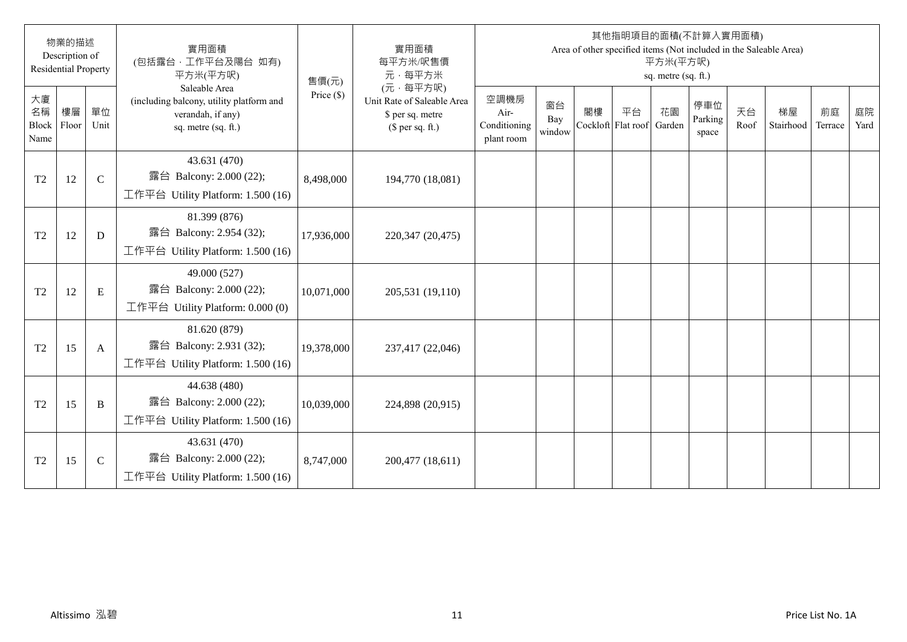|                           | 物業的描述<br>Description of<br><b>Residential Property</b> |              | 實用面積<br>(包括露台·工作平台及陽台 如有)<br>平方米(平方呎)                                                                 | 售價(元)        | 實用面積<br>每平方米/呎售價<br>元·每平方米                                                     |                                            |                     |                          |    | 平方米(平方呎)<br>sq. metre (sq. ft.) | 其他指明項目的面積(不計算入實用面積)     |            | Area of other specified items (Not included in the Saleable Area) |               |            |
|---------------------------|--------------------------------------------------------|--------------|-------------------------------------------------------------------------------------------------------|--------------|--------------------------------------------------------------------------------|--------------------------------------------|---------------------|--------------------------|----|---------------------------------|-------------------------|------------|-------------------------------------------------------------------|---------------|------------|
| 大廈<br>名稱<br>Block<br>Name | 樓層<br>Floor                                            | 單位<br>Unit   | Saleable Area<br>(including balcony, utility platform and<br>verandah, if any)<br>sq. metre (sq. ft.) | Price $(\$)$ | (元·每平方呎)<br>Unit Rate of Saleable Area<br>\$ per sq. metre<br>$$$ per sq. ft.) | 空調機房<br>Air-<br>Conditioning<br>plant room | 窗台<br>Bay<br>window | 閣樓<br>Cockloft Flat roof | 平台 | 花園<br>Garden                    | 停車位<br>Parking<br>space | 天台<br>Roof | 梯屋<br>Stairhood                                                   | 前庭<br>Terrace | 庭院<br>Yard |
| T <sub>2</sub>            | 12                                                     | $\mathbf C$  | 43.631 (470)<br>露台 Balcony: 2.000 (22);<br>工作平台 Utility Platform: $1.500(16)$                         | 8,498,000    | 194,770 (18,081)                                                               |                                            |                     |                          |    |                                 |                         |            |                                                                   |               |            |
| T <sub>2</sub>            | 12                                                     | D            | 81.399 (876)<br>露台 Balcony: 2.954 (32);<br>工作平台 Utility Platform: 1.500 (16)                          | 17,936,000   | 220,347 (20,475)                                                               |                                            |                     |                          |    |                                 |                         |            |                                                                   |               |            |
| T <sub>2</sub>            | 12                                                     | ${\bf E}$    | 49.000 (527)<br>露台 Balcony: 2.000 (22);<br>工作平台 Utility Platform: $0.000(0)$                          | 10,071,000   | 205,531 (19,110)                                                               |                                            |                     |                          |    |                                 |                         |            |                                                                   |               |            |
| T <sub>2</sub>            | 15                                                     | A            | 81.620 (879)<br>露台 Balcony: 2.931 (32);<br>工作平台 Utility Platform: $1.500(16)$                         | 19,378,000   | 237,417 (22,046)                                                               |                                            |                     |                          |    |                                 |                         |            |                                                                   |               |            |
| T <sub>2</sub>            | 15                                                     | B            | 44.638 (480)<br>露台 Balcony: 2.000 (22);<br>工作平台 Utility Platform: 1.500 (16)                          | 10,039,000   | 224,898 (20,915)                                                               |                                            |                     |                          |    |                                 |                         |            |                                                                   |               |            |
| T <sub>2</sub>            | 15                                                     | $\mathsf{C}$ | 43.631 (470)<br>露台 Balcony: 2.000 (22);<br>工作平台 Utility Platform: 1.500 (16)                          | 8,747,000    | 200,477 (18,611)                                                               |                                            |                     |                          |    |                                 |                         |            |                                                                   |               |            |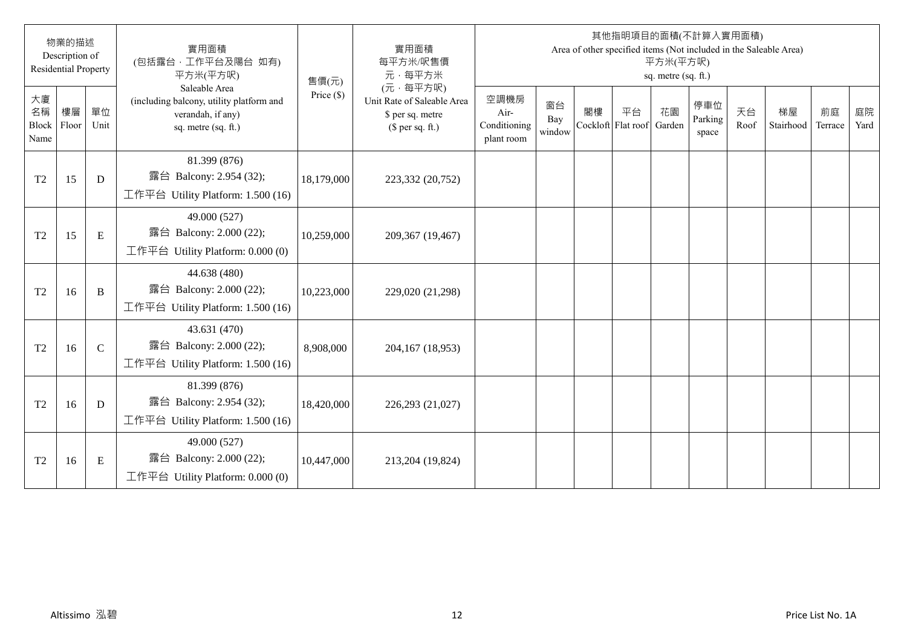|                                  | 物業的描述<br>Description of<br><b>Residential Property</b> |              | 實用面積<br>(包括露台·工作平台及陽台 如有)<br>平方米(平方呎)                                                                 | 售價(元)        | 實用面積<br>每平方米/呎售價<br>元·每平方米                                                     |                                            |                     |                          |    | 平方米(平方呎)<br>sq. metre (sq. ft.) | 其他指明項目的面積(不計算入實用面積)     |            | Area of other specified items (Not included in the Saleable Area) |               |            |
|----------------------------------|--------------------------------------------------------|--------------|-------------------------------------------------------------------------------------------------------|--------------|--------------------------------------------------------------------------------|--------------------------------------------|---------------------|--------------------------|----|---------------------------------|-------------------------|------------|-------------------------------------------------------------------|---------------|------------|
| 大廈<br>名稱<br><b>Block</b><br>Name | 樓層<br>Floor                                            | 單位<br>Unit   | Saleable Area<br>(including balcony, utility platform and<br>verandah, if any)<br>sq. metre (sq. ft.) | Price $(\$)$ | (元·每平方呎)<br>Unit Rate of Saleable Area<br>\$ per sq. metre<br>(\$ per sq. ft.) | 空調機房<br>Air-<br>Conditioning<br>plant room | 窗台<br>Bay<br>window | 閣樓<br>Cockloft Flat roof | 平台 | 花園<br>Garden                    | 停車位<br>Parking<br>space | 天台<br>Roof | 梯屋<br>Stairhood                                                   | 前庭<br>Terrace | 庭院<br>Yard |
| T <sub>2</sub>                   | 15                                                     | D            | 81.399 (876)<br>露台 Balcony: 2.954 (32);<br>工作平台 Utility Platform: 1.500 (16)                          | 18,179,000   | 223,332 (20,752)                                                               |                                            |                     |                          |    |                                 |                         |            |                                                                   |               |            |
| T <sub>2</sub>                   | 15                                                     | ${\bf E}$    | 49.000 (527)<br>露台 Balcony: 2.000 (22);<br>工作平台 Utility Platform: 0.000 (0)                           | 10,259,000   | 209,367 (19,467)                                                               |                                            |                     |                          |    |                                 |                         |            |                                                                   |               |            |
| T <sub>2</sub>                   | 16                                                     | $\, {\bf B}$ | 44.638 (480)<br>露台 Balcony: 2.000 (22);<br>工作平台 Utility Platform: 1.500 (16)                          | 10,223,000   | 229,020 (21,298)                                                               |                                            |                     |                          |    |                                 |                         |            |                                                                   |               |            |
| T <sub>2</sub>                   | 16                                                     | $\mathsf{C}$ | 43.631 (470)<br>露台 Balcony: 2.000 (22);<br>工作平台 Utility Platform: 1.500 (16)                          | 8,908,000    | 204,167 (18,953)                                                               |                                            |                     |                          |    |                                 |                         |            |                                                                   |               |            |
| T <sub>2</sub>                   | 16                                                     | D            | 81.399 (876)<br>露台 Balcony: 2.954 (32);<br>工作平台 Utility Platform: 1.500 (16)                          | 18,420,000   | 226,293 (21,027)                                                               |                                            |                     |                          |    |                                 |                         |            |                                                                   |               |            |
| T <sub>2</sub>                   | 16                                                     | Ε            | 49.000 (527)<br>露台 Balcony: 2.000 (22);<br>工作平台 Utility Platform: $0.000(0)$                          | 10,447,000   | 213,204 (19,824)                                                               |                                            |                     |                          |    |                                 |                         |            |                                                                   |               |            |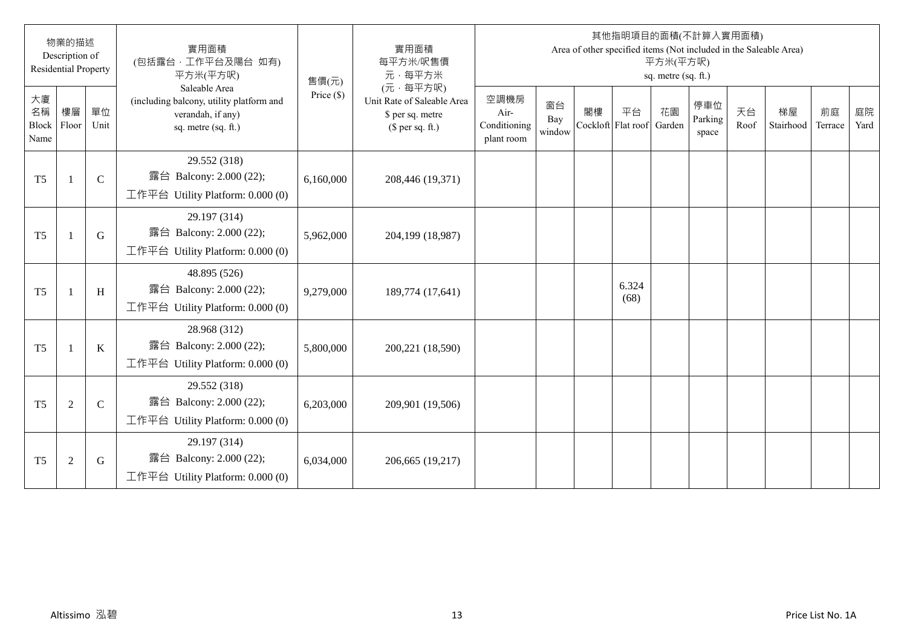|                                  | 物業的描述<br>Description of<br><b>Residential Property</b> |              | 實用面積<br>(包括露台·工作平台及陽台 如有)<br>平方米(平方呎)                                                                 | 售價(元)        | 實用面積<br>每平方米/呎售價<br>元·每平方米                                                     |                                            |                     |                          |               | 平方米(平方呎)<br>sq. metre (sq. ft.) | 其他指明項目的面積(不計算入實用面積)     |            | Area of other specified items (Not included in the Saleable Area) |               |            |
|----------------------------------|--------------------------------------------------------|--------------|-------------------------------------------------------------------------------------------------------|--------------|--------------------------------------------------------------------------------|--------------------------------------------|---------------------|--------------------------|---------------|---------------------------------|-------------------------|------------|-------------------------------------------------------------------|---------------|------------|
| 大廈<br>名稱<br><b>Block</b><br>Name | 樓層<br>Floor                                            | 單位<br>Unit   | Saleable Area<br>(including balcony, utility platform and<br>verandah, if any)<br>sq. metre (sq. ft.) | Price $(\$)$ | (元·每平方呎)<br>Unit Rate of Saleable Area<br>\$ per sq. metre<br>(\$ per sq. ft.) | 空調機房<br>Air-<br>Conditioning<br>plant room | 窗台<br>Bay<br>window | 閣樓<br>Cockloft Flat roof | 平台            | 花園<br>Garden                    | 停車位<br>Parking<br>space | 天台<br>Roof | 梯屋<br>Stairhood                                                   | 前庭<br>Terrace | 庭院<br>Yard |
| T <sub>5</sub>                   |                                                        | $\mathsf{C}$ | 29.552 (318)<br>露台 Balcony: 2.000 (22);<br>工作平台 Utility Platform: $0.000(0)$                          | 6,160,000    | 208,446 (19,371)                                                               |                                            |                     |                          |               |                                 |                         |            |                                                                   |               |            |
| T <sub>5</sub>                   |                                                        | G            | 29.197 (314)<br>露台 Balcony: 2.000 (22);<br>工作平台 Utility Platform: 0.000 (0)                           | 5,962,000    | 204,199 (18,987)                                                               |                                            |                     |                          |               |                                 |                         |            |                                                                   |               |            |
| T <sub>5</sub>                   |                                                        | H            | 48.895 (526)<br>露台 Balcony: 2.000 (22);<br>工作平台 Utility Platform: 0.000 (0)                           | 9,279,000    | 189,774 (17,641)                                                               |                                            |                     |                          | 6.324<br>(68) |                                 |                         |            |                                                                   |               |            |
| T <sub>5</sub>                   |                                                        | $\bf K$      | 28.968 (312)<br>露台 Balcony: 2.000 (22);<br>工作平台 Utility Platform: 0.000 (0)                           | 5,800,000    | 200,221 (18,590)                                                               |                                            |                     |                          |               |                                 |                         |            |                                                                   |               |            |
| T <sub>5</sub>                   | $\overline{2}$                                         | $\mathsf{C}$ | 29.552 (318)<br>露台 Balcony: 2.000 (22);<br>工作平台 Utility Platform: 0.000 (0)                           | 6,203,000    | 209,901 (19,506)                                                               |                                            |                     |                          |               |                                 |                         |            |                                                                   |               |            |
| T <sub>5</sub>                   | $\overline{2}$                                         | G            | 29.197 (314)<br>露台 Balcony: 2.000 (22);<br>工作平台 Utility Platform: $0.000(0)$                          | 6,034,000    | 206,665 (19,217)                                                               |                                            |                     |                          |               |                                 |                         |            |                                                                   |               |            |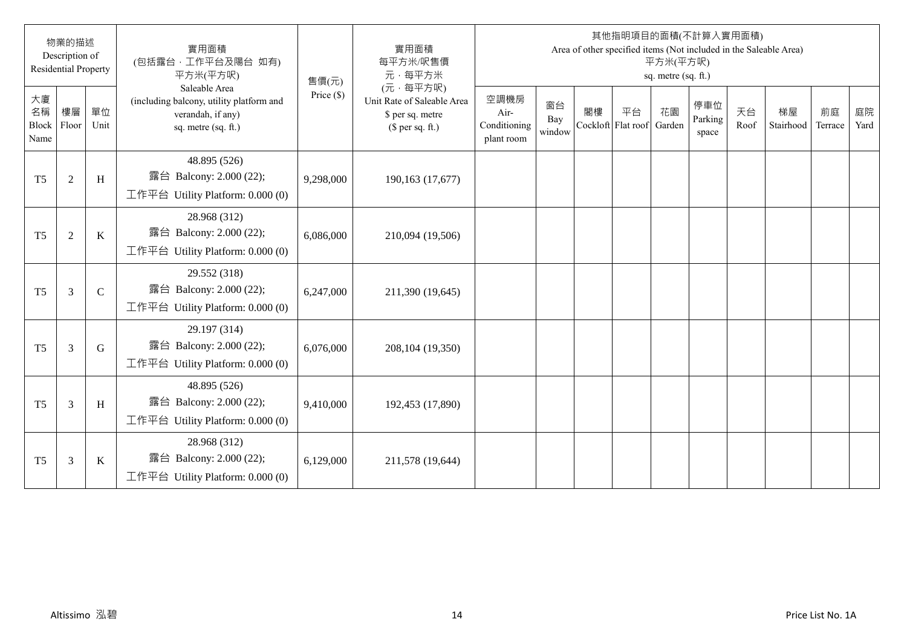|                                  | 物業的描述<br>Description of<br><b>Residential Property</b> |              | 實用面積<br>(包括露台·工作平台及陽台 如有)<br>平方米(平方呎)                                                                 | 售價(元)        | 實用面積<br>每平方米/呎售價<br>元·每平方米                                                     |                                            |                     |                          |    | 平方米(平方呎)<br>sq. metre (sq. ft.) | 其他指明項目的面積(不計算入實用面積)     |            | Area of other specified items (Not included in the Saleable Area) |               |            |
|----------------------------------|--------------------------------------------------------|--------------|-------------------------------------------------------------------------------------------------------|--------------|--------------------------------------------------------------------------------|--------------------------------------------|---------------------|--------------------------|----|---------------------------------|-------------------------|------------|-------------------------------------------------------------------|---------------|------------|
| 大廈<br>名稱<br><b>Block</b><br>Name | 樓層<br>Floor                                            | 單位<br>Unit   | Saleable Area<br>(including balcony, utility platform and<br>verandah, if any)<br>sq. metre (sq. ft.) | Price $(\$)$ | (元·每平方呎)<br>Unit Rate of Saleable Area<br>\$ per sq. metre<br>(\$ per sq. ft.) | 空調機房<br>Air-<br>Conditioning<br>plant room | 窗台<br>Bay<br>window | 閣樓<br>Cockloft Flat roof | 平台 | 花園<br>Garden                    | 停車位<br>Parking<br>space | 天台<br>Roof | 梯屋<br>Stairhood                                                   | 前庭<br>Terrace | 庭院<br>Yard |
| T <sub>5</sub>                   | $\overline{2}$                                         | H            | 48.895 (526)<br>露台 Balcony: 2.000 (22);<br>工作平台 Utility Platform: 0.000 (0)                           | 9,298,000    | 190,163 (17,677)                                                               |                                            |                     |                          |    |                                 |                         |            |                                                                   |               |            |
| T <sub>5</sub>                   | $\overline{2}$                                         | $\rm K$      | 28.968 (312)<br>露台 Balcony: 2.000 (22);<br>工作平台 Utility Platform: 0.000 (0)                           | 6,086,000    | 210,094 (19,506)                                                               |                                            |                     |                          |    |                                 |                         |            |                                                                   |               |            |
| T <sub>5</sub>                   | $\mathfrak{Z}$                                         | $\mathsf{C}$ | 29.552 (318)<br>露台 Balcony: 2.000 (22);<br>工作平台 Utility Platform: $0.000(0)$                          | 6,247,000    | 211,390 (19,645)                                                               |                                            |                     |                          |    |                                 |                         |            |                                                                   |               |            |
| T <sub>5</sub>                   | $\overline{3}$                                         | G            | 29.197 (314)<br>露台 Balcony: 2.000 (22);<br>工作平台 Utility Platform: 0.000 (0)                           | 6,076,000    | 208,104 (19,350)                                                               |                                            |                     |                          |    |                                 |                         |            |                                                                   |               |            |
| T <sub>5</sub>                   | $\overline{3}$                                         | H            | 48.895 (526)<br>露台 Balcony: 2.000 (22);<br>工作平台 Utility Platform: 0.000 (0)                           | 9,410,000    | 192,453 (17,890)                                                               |                                            |                     |                          |    |                                 |                         |            |                                                                   |               |            |
| T <sub>5</sub>                   | 3                                                      | K            | 28.968 (312)<br>露台 Balcony: 2.000 (22);<br>工作平台 Utility Platform: $0.000(0)$                          | 6,129,000    | 211,578 (19,644)                                                               |                                            |                     |                          |    |                                 |                         |            |                                                                   |               |            |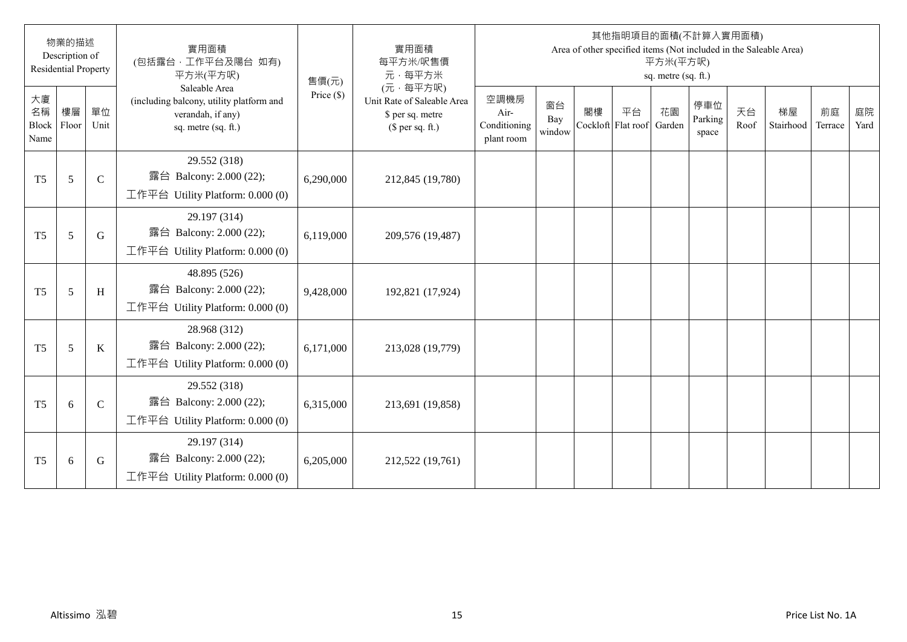|                                  | 物業的描述<br>Description of<br><b>Residential Property</b> |               | 實用面積<br>(包括露台·工作平台及陽台 如有)<br>平方米(平方呎)                                                                 | 售價(元)        | 實用面積<br>每平方米/呎售價<br>元·每平方米                                                     |                                            |                     |    |                          | 平方米(平方呎)<br>sq. metre (sq. ft.) | 其他指明項目的面積(不計算入實用面積)     |            | Area of other specified items (Not included in the Saleable Area) |               |            |
|----------------------------------|--------------------------------------------------------|---------------|-------------------------------------------------------------------------------------------------------|--------------|--------------------------------------------------------------------------------|--------------------------------------------|---------------------|----|--------------------------|---------------------------------|-------------------------|------------|-------------------------------------------------------------------|---------------|------------|
| 大廈<br>名稱<br><b>Block</b><br>Name | 樓層<br>Floor                                            | 單位<br>Unit    | Saleable Area<br>(including balcony, utility platform and<br>verandah, if any)<br>sq. metre (sq. ft.) | Price $(\$)$ | (元·每平方呎)<br>Unit Rate of Saleable Area<br>\$ per sq. metre<br>(\$ per sq. ft.) | 空調機房<br>Air-<br>Conditioning<br>plant room | 窗台<br>Bay<br>window | 閣樓 | 平台<br>Cockloft Flat roof | 花園<br>Garden                    | 停車位<br>Parking<br>space | 天台<br>Roof | 梯屋<br>Stairhood                                                   | 前庭<br>Terrace | 庭院<br>Yard |
| T <sub>5</sub>                   | 5                                                      | $\mathcal{C}$ | 29.552 (318)<br>露台 Balcony: 2.000 (22);<br>工作平台 Utility Platform: 0.000 (0)                           | 6,290,000    | 212,845 (19,780)                                                               |                                            |                     |    |                          |                                 |                         |            |                                                                   |               |            |
| T <sub>5</sub>                   | 5                                                      | G             | 29.197 (314)<br>露台 Balcony: 2.000 (22);<br>工作平台 Utility Platform: 0.000 (0)                           | 6,119,000    | 209,576 (19,487)                                                               |                                            |                     |    |                          |                                 |                         |            |                                                                   |               |            |
| T <sub>5</sub>                   | 5                                                      | H             | 48.895 (526)<br>露台 Balcony: 2.000 (22);<br>工作平台 Utility Platform: $0.000(0)$                          | 9,428,000    | 192,821 (17,924)                                                               |                                            |                     |    |                          |                                 |                         |            |                                                                   |               |            |
| T <sub>5</sub>                   | 5                                                      | K             | 28.968 (312)<br>露台 Balcony: 2.000 (22);<br>工作平台 Utility Platform: 0.000 (0)                           | 6,171,000    | 213,028 (19,779)                                                               |                                            |                     |    |                          |                                 |                         |            |                                                                   |               |            |
| T <sub>5</sub>                   | 6                                                      | $\mathcal{C}$ | 29.552 (318)<br>露台 Balcony: 2.000 (22);<br>工作平台 Utility Platform: 0.000 (0)                           | 6,315,000    | 213,691 (19,858)                                                               |                                            |                     |    |                          |                                 |                         |            |                                                                   |               |            |
| T <sub>5</sub>                   | 6                                                      | G             | 29.197 (314)<br>露台 Balcony: 2.000 (22);<br>工作平台 Utility Platform: $0.000(0)$                          | 6,205,000    | 212,522 (19,761)                                                               |                                            |                     |    |                          |                                 |                         |            |                                                                   |               |            |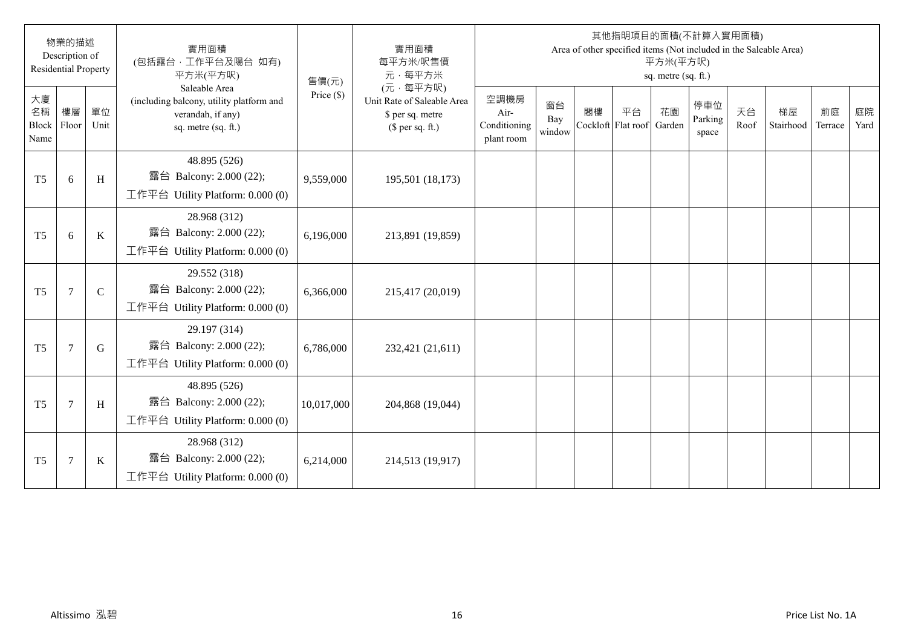|                                  | 物業的描述<br>Description of<br><b>Residential Property</b> |             | 實用面積<br>(包括露台·工作平台及陽台 如有)<br>平方米(平方呎)                                                                 | 售價(元)        | 實用面積<br>每平方米/呎售價<br>元·每平方米                                                     |                                            |                     |    |                          | 平方米(平方呎)<br>sq. metre (sq. ft.) | 其他指明項目的面積(不計算入實用面積)     |            | Area of other specified items (Not included in the Saleable Area) |               |            |
|----------------------------------|--------------------------------------------------------|-------------|-------------------------------------------------------------------------------------------------------|--------------|--------------------------------------------------------------------------------|--------------------------------------------|---------------------|----|--------------------------|---------------------------------|-------------------------|------------|-------------------------------------------------------------------|---------------|------------|
| 大廈<br>名稱<br><b>Block</b><br>Name | 樓層<br>Floor                                            | 單位<br>Unit  | Saleable Area<br>(including balcony, utility platform and<br>verandah, if any)<br>sq. metre (sq. ft.) | Price $(\$)$ | (元·每平方呎)<br>Unit Rate of Saleable Area<br>\$ per sq. metre<br>(\$ per sq. ft.) | 空調機房<br>Air-<br>Conditioning<br>plant room | 窗台<br>Bay<br>window | 閣樓 | 平台<br>Cockloft Flat roof | 花園<br>Garden                    | 停車位<br>Parking<br>space | 天台<br>Roof | 梯屋<br>Stairhood                                                   | 前庭<br>Terrace | 庭院<br>Yard |
| T <sub>5</sub>                   | 6                                                      | H           | 48.895 (526)<br>露台 Balcony: 2.000 (22);<br>工作平台 Utility Platform: $0.000(0)$                          | 9,559,000    | 195,501 (18,173)                                                               |                                            |                     |    |                          |                                 |                         |            |                                                                   |               |            |
| T <sub>5</sub>                   | 6                                                      | K           | 28.968 (312)<br>露台 Balcony: 2.000 (22);<br>工作平台 Utility Platform: 0.000 (0)                           | 6,196,000    | 213,891 (19,859)                                                               |                                            |                     |    |                          |                                 |                         |            |                                                                   |               |            |
| T <sub>5</sub>                   | $\overline{7}$                                         | $\mathbf C$ | 29.552 (318)<br>露台 Balcony: 2.000 (22);<br>工作平台 Utility Platform: $0.000(0)$                          | 6,366,000    | 215,417 (20,019)                                                               |                                            |                     |    |                          |                                 |                         |            |                                                                   |               |            |
| T <sub>5</sub>                   | $\overline{7}$                                         | G           | 29.197 (314)<br>露台 Balcony: 2.000 (22);<br>工作平台 Utility Platform: 0.000 (0)                           | 6,786,000    | 232,421 (21,611)                                                               |                                            |                     |    |                          |                                 |                         |            |                                                                   |               |            |
| T <sub>5</sub>                   | $\overline{7}$                                         | H           | 48.895 (526)<br>露台 Balcony: 2.000 (22);<br>工作平台 Utility Platform: 0.000 (0)                           | 10,017,000   | 204,868 (19,044)                                                               |                                            |                     |    |                          |                                 |                         |            |                                                                   |               |            |
| T <sub>5</sub>                   | $\overline{7}$                                         | K           | 28.968 (312)<br>露台 Balcony: 2.000 (22);<br>工作平台 Utility Platform: $0.000(0)$                          | 6,214,000    | 214,513 (19,917)                                                               |                                            |                     |    |                          |                                 |                         |            |                                                                   |               |            |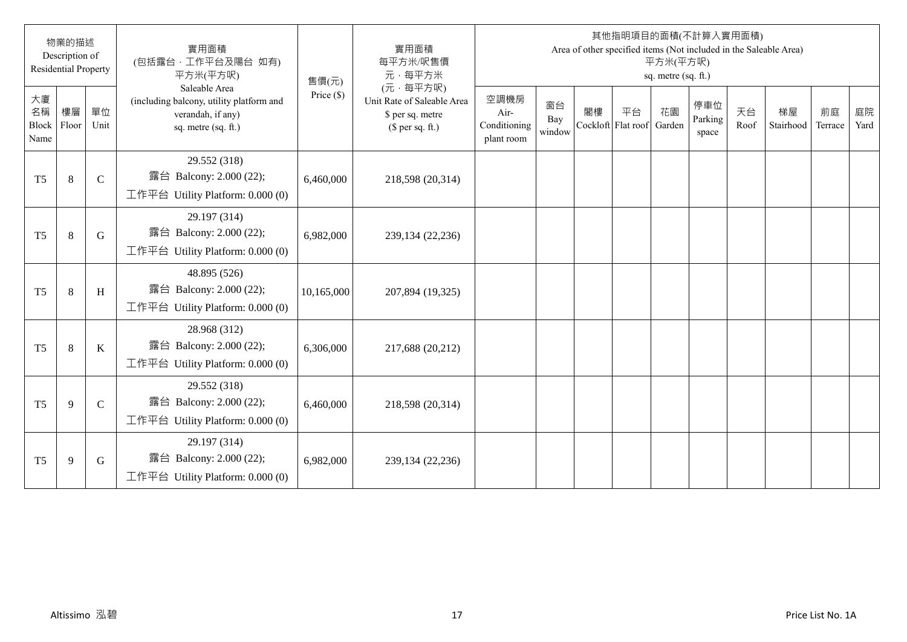|                                  | 物業的描述<br>Description of<br><b>Residential Property</b> |               | 實用面積<br>(包括露台·工作平台及陽台 如有)<br>平方米(平方呎)                                                                 | 售價(元)        | 實用面積<br>每平方米/呎售價<br>元·每平方米                                                     |                                            |                     |    |                          | 平方米(平方呎)<br>sq. metre (sq. ft.) | 其他指明項目的面積(不計算入實用面積)     |            | Area of other specified items (Not included in the Saleable Area) |               |            |
|----------------------------------|--------------------------------------------------------|---------------|-------------------------------------------------------------------------------------------------------|--------------|--------------------------------------------------------------------------------|--------------------------------------------|---------------------|----|--------------------------|---------------------------------|-------------------------|------------|-------------------------------------------------------------------|---------------|------------|
| 大廈<br>名稱<br><b>Block</b><br>Name | 樓層<br>Floor                                            | 單位<br>Unit    | Saleable Area<br>(including balcony, utility platform and<br>verandah, if any)<br>sq. metre (sq. ft.) | Price $(\$)$ | (元·每平方呎)<br>Unit Rate of Saleable Area<br>\$ per sq. metre<br>(\$ per sq. ft.) | 空調機房<br>Air-<br>Conditioning<br>plant room | 窗台<br>Bay<br>window | 閣樓 | 平台<br>Cockloft Flat roof | 花園<br>Garden                    | 停車位<br>Parking<br>space | 天台<br>Roof | 梯屋<br>Stairhood                                                   | 前庭<br>Terrace | 庭院<br>Yard |
| T <sub>5</sub>                   | $\,8\,$                                                | $\mathcal{C}$ | 29.552 (318)<br>露台 Balcony: 2.000 (22);<br>工作平台 Utility Platform: $0.000(0)$                          | 6,460,000    | 218,598 (20,314)                                                               |                                            |                     |    |                          |                                 |                         |            |                                                                   |               |            |
| T <sub>5</sub>                   | 8                                                      | G             | 29.197 (314)<br>露台 Balcony: 2.000 (22);<br>工作平台 Utility Platform: 0.000 (0)                           | 6,982,000    | 239,134 (22,236)                                                               |                                            |                     |    |                          |                                 |                         |            |                                                                   |               |            |
| T <sub>5</sub>                   | 8                                                      | H             | 48.895 (526)<br>露台 Balcony: 2.000 (22);<br>工作平台 Utility Platform: $0.000(0)$                          | 10,165,000   | 207,894 (19,325)                                                               |                                            |                     |    |                          |                                 |                         |            |                                                                   |               |            |
| T <sub>5</sub>                   | 8                                                      | K             | 28.968 (312)<br>露台 Balcony: 2.000 (22);<br>工作平台 Utility Platform: 0.000 (0)                           | 6,306,000    | 217,688 (20,212)                                                               |                                            |                     |    |                          |                                 |                         |            |                                                                   |               |            |
| T <sub>5</sub>                   | 9                                                      | $\mathbf C$   | 29.552 (318)<br>露台 Balcony: 2.000 (22);<br>工作平台 Utility Platform: 0.000 (0)                           | 6,460,000    | 218,598 (20,314)                                                               |                                            |                     |    |                          |                                 |                         |            |                                                                   |               |            |
| T <sub>5</sub>                   | 9                                                      | G             | 29.197 (314)<br>露台 Balcony: 2.000 (22);<br>工作平台 Utility Platform: $0.000(0)$                          | 6,982,000    | 239,134 (22,236)                                                               |                                            |                     |    |                          |                                 |                         |            |                                                                   |               |            |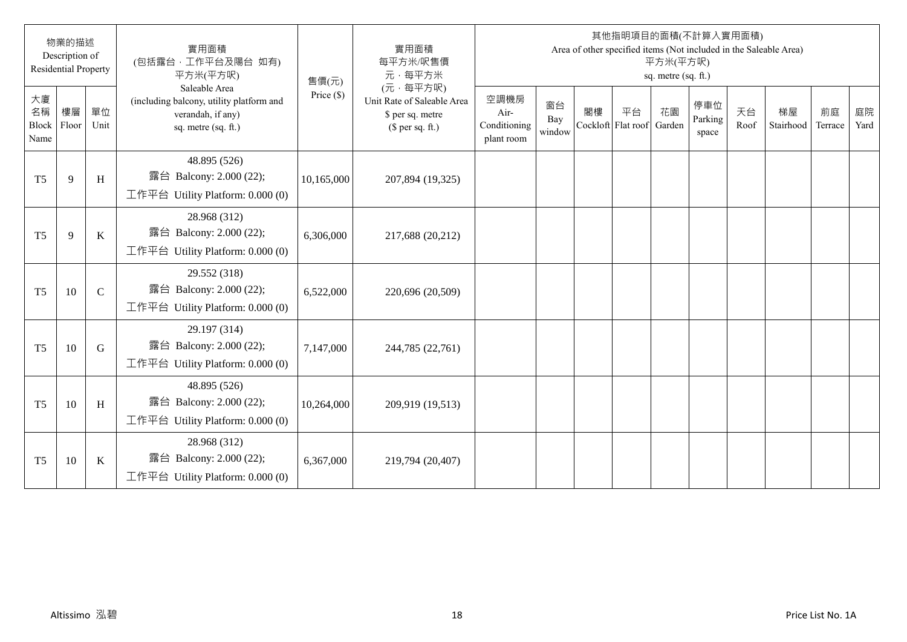|                                  | 物業的描述<br>Description of<br><b>Residential Property</b> |             | 實用面積<br>(包括露台·工作平台及陽台 如有)<br>平方米(平方呎)                                                                 | 售價(元)        | 實用面積<br>每平方米/呎售價<br>元·每平方米                                                     |                                            |                     |    |                                 | 平方米(平方呎)<br>sq. metre (sq. ft.) | 其他指明項目的面積(不計算入實用面積)     |            | Area of other specified items (Not included in the Saleable Area) |               |            |
|----------------------------------|--------------------------------------------------------|-------------|-------------------------------------------------------------------------------------------------------|--------------|--------------------------------------------------------------------------------|--------------------------------------------|---------------------|----|---------------------------------|---------------------------------|-------------------------|------------|-------------------------------------------------------------------|---------------|------------|
| 大廈<br>名稱<br><b>Block</b><br>Name | 樓層<br>Floor                                            | 單位<br>Unit  | Saleable Area<br>(including balcony, utility platform and<br>verandah, if any)<br>sq. metre (sq. ft.) | Price $(\$)$ | (元·每平方呎)<br>Unit Rate of Saleable Area<br>\$ per sq. metre<br>(\$ per sq. ft.) | 空調機房<br>Air-<br>Conditioning<br>plant room | 窗台<br>Bay<br>window | 閣樓 | 平台<br>Cockloft Flat roof Garden | 花園                              | 停車位<br>Parking<br>space | 天台<br>Roof | 梯屋<br>Stairhood                                                   | 前庭<br>Terrace | 庭院<br>Yard |
| T <sub>5</sub>                   | 9                                                      | H           | 48.895 (526)<br>露台 Balcony: 2.000 (22);<br>工作平台 Utility Platform: 0.000 (0)                           | 10,165,000   | 207,894 (19,325)                                                               |                                            |                     |    |                                 |                                 |                         |            |                                                                   |               |            |
| T <sub>5</sub>                   | 9                                                      | $\rm K$     | 28.968 (312)<br>露台 Balcony: 2.000 (22);<br>工作平台 Utility Platform: 0.000 (0)                           | 6,306,000    | 217,688 (20,212)                                                               |                                            |                     |    |                                 |                                 |                         |            |                                                                   |               |            |
| T <sub>5</sub>                   | 10                                                     | $\mathbf C$ | 29.552 (318)<br>露台 Balcony: 2.000 (22);<br>工作平台 Utility Platform: $0.000(0)$                          | 6,522,000    | 220,696 (20,509)                                                               |                                            |                     |    |                                 |                                 |                         |            |                                                                   |               |            |
| T <sub>5</sub>                   | 10                                                     | G           | 29.197 (314)<br>露台 Balcony: 2.000 (22);<br>工作平台 Utility Platform: $0.000(0)$                          | 7,147,000    | 244,785 (22,761)                                                               |                                            |                     |    |                                 |                                 |                         |            |                                                                   |               |            |
| T <sub>5</sub>                   | 10                                                     | H           | 48.895 (526)<br>露台 Balcony: 2.000 (22);<br>工作平台 Utility Platform: 0.000 (0)                           | 10,264,000   | 209,919 (19,513)                                                               |                                            |                     |    |                                 |                                 |                         |            |                                                                   |               |            |
| T <sub>5</sub>                   | 10                                                     | K           | 28.968 (312)<br>露台 Balcony: 2.000 (22);<br>工作平台 Utility Platform: $0.000(0)$                          | 6,367,000    | 219,794 (20,407)                                                               |                                            |                     |    |                                 |                                 |                         |            |                                                                   |               |            |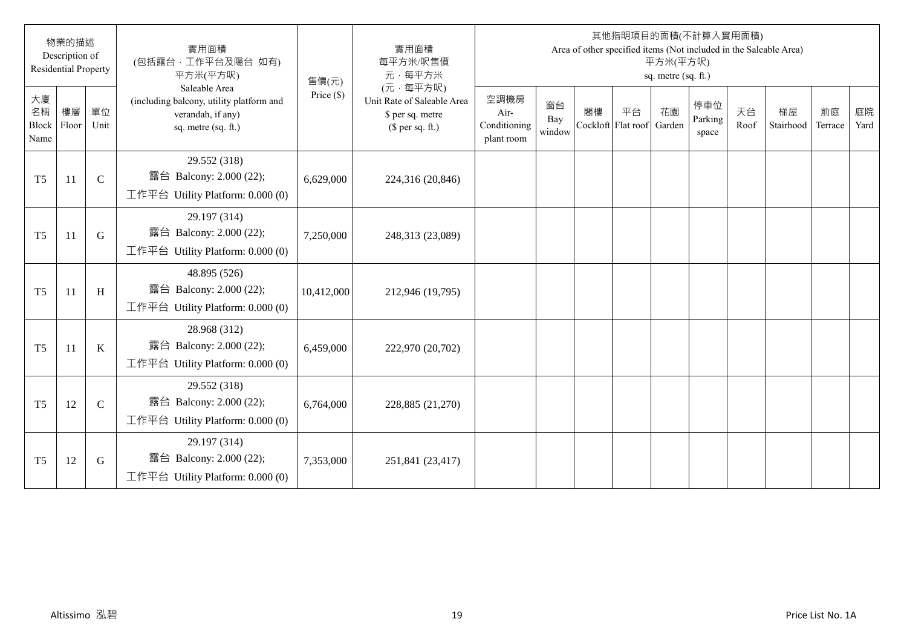|                           | 物業的描述<br>Description of<br><b>Residential Property</b> |              | 實用面積<br>(包括露台·工作平台及陽台 如有)<br>平方米(平方呎)                                                                 | 售價(元)        | 實用面積<br>每平方米/呎售價<br>元·每平方米                                                     |                                            |                     |                          |    | 平方米(平方呎)<br>sq. metre (sq. ft.) | 其他指明項目的面積(不計算入實用面積)     |            | Area of other specified items (Not included in the Saleable Area) |               |            |
|---------------------------|--------------------------------------------------------|--------------|-------------------------------------------------------------------------------------------------------|--------------|--------------------------------------------------------------------------------|--------------------------------------------|---------------------|--------------------------|----|---------------------------------|-------------------------|------------|-------------------------------------------------------------------|---------------|------------|
| 大廈<br>名稱<br>Block<br>Name | 樓層<br>Floor                                            | 單位<br>Unit   | Saleable Area<br>(including balcony, utility platform and<br>verandah, if any)<br>sq. metre (sq. ft.) | Price $(\$)$ | (元·每平方呎)<br>Unit Rate of Saleable Area<br>\$ per sq. metre<br>$$$ per sq. ft.) | 空調機房<br>Air-<br>Conditioning<br>plant room | 窗台<br>Bay<br>window | 閣樓<br>Cockloft Flat roof | 平台 | 花園<br>Garden                    | 停車位<br>Parking<br>space | 天台<br>Roof | 梯屋<br>Stairhood                                                   | 前庭<br>Terrace | 庭院<br>Yard |
| T <sub>5</sub>            | 11                                                     | $\mathbf C$  | 29.552 (318)<br>露台 Balcony: 2.000 (22);<br>工作平台 Utility Platform: $0.000(0)$                          | 6,629,000    | 224,316 (20,846)                                                               |                                            |                     |                          |    |                                 |                         |            |                                                                   |               |            |
| T <sub>5</sub>            | 11                                                     | G            | 29.197 (314)<br>露台 Balcony: 2.000 (22);<br>工作平台 Utility Platform: 0.000 (0)                           | 7,250,000    | 248,313 (23,089)                                                               |                                            |                     |                          |    |                                 |                         |            |                                                                   |               |            |
| T <sub>5</sub>            | 11                                                     | $\, {\rm H}$ | 48.895 (526)<br>露台 Balcony: 2.000 (22);<br>工作平台 Utility Platform: $0.000(0)$                          | 10,412,000   | 212,946 (19,795)                                                               |                                            |                     |                          |    |                                 |                         |            |                                                                   |               |            |
| T <sub>5</sub>            | 11                                                     | $\mathbf K$  | 28.968 (312)<br>露台 Balcony: 2.000 (22);<br>工作平台 Utility Platform: 0.000 (0)                           | 6,459,000    | 222,970 (20,702)                                                               |                                            |                     |                          |    |                                 |                         |            |                                                                   |               |            |
| T <sub>5</sub>            | 12                                                     | $\mathsf{C}$ | 29.552 (318)<br>露台 Balcony: 2.000 (22);<br>工作平台 Utility Platform: 0.000 (0)                           | 6,764,000    | 228,885 (21,270)                                                               |                                            |                     |                          |    |                                 |                         |            |                                                                   |               |            |
| T <sub>5</sub>            | 12                                                     | G            | 29.197 (314)<br>露台 Balcony: 2.000 (22);<br>工作平台 Utility Platform: $0.000(0)$                          | 7,353,000    | 251,841 (23,417)                                                               |                                            |                     |                          |    |                                 |                         |            |                                                                   |               |            |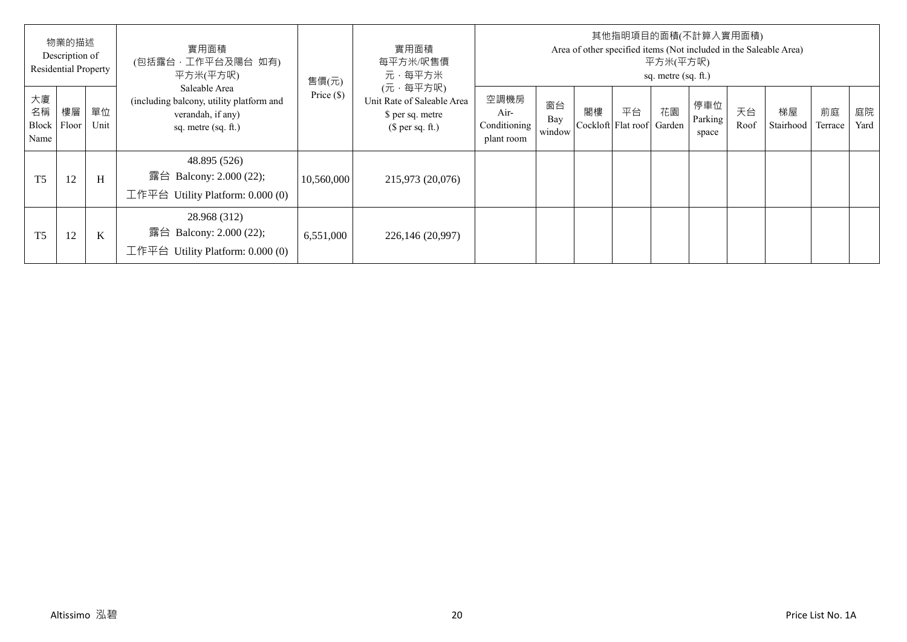|                                   | 物業的描述<br>Description of<br><b>Residential Property</b> |            | 實用面積<br>(包括露台, 工作平台及陽台 如有)<br>平方米(平方呎)                                                                | 售價(元)        | 實用面積<br>每平方米/呎售價<br>元·每平方米                                                     |                                            |                     |    |                          | 平方米(平方呎)<br>sq. metre (sq. ft.) | 其他指明項目的面積(不計算入實用面積)     |            | Area of other specified items (Not included in the Saleable Area) |               |            |
|-----------------------------------|--------------------------------------------------------|------------|-------------------------------------------------------------------------------------------------------|--------------|--------------------------------------------------------------------------------|--------------------------------------------|---------------------|----|--------------------------|---------------------------------|-------------------------|------------|-------------------------------------------------------------------|---------------|------------|
| 大廈<br>名稱<br>Block   Floor<br>Name | 樓層                                                     | 單位<br>Unit | Saleable Area<br>(including balcony, utility platform and<br>verandah, if any)<br>sq. metre (sq. ft.) | Price $(\$)$ | (元·每平方呎)<br>Unit Rate of Saleable Area<br>\$ per sq. metre<br>$$$ per sq. ft.) | 空調機房<br>Air-<br>Conditioning<br>plant room | 窗台<br>Bay<br>window | 閣樓 | 平台<br>Cockloft Flat roof | 花園<br>Garden                    | 停車位<br>Parking<br>space | 天台<br>Roof | 梯屋<br>Stairhood                                                   | 前庭<br>Terrace | 庭院<br>Yard |
| T <sub>5</sub>                    | 12                                                     | H          | 48.895 (526)<br>露台 Balcony: 2.000 (22);<br>工作平台 Utility Platform: $0.000(0)$                          | 10,560,000   | 215,973 (20,076)                                                               |                                            |                     |    |                          |                                 |                         |            |                                                                   |               |            |
| T <sub>5</sub>                    | 12                                                     | K          | 28.968 (312)<br>露台 Balcony: 2.000 (22);<br>工作平台 Utility Platform: $0.000(0)$                          | 6,551,000    | 226,146 (20,997)                                                               |                                            |                     |    |                          |                                 |                         |            |                                                                   |               |            |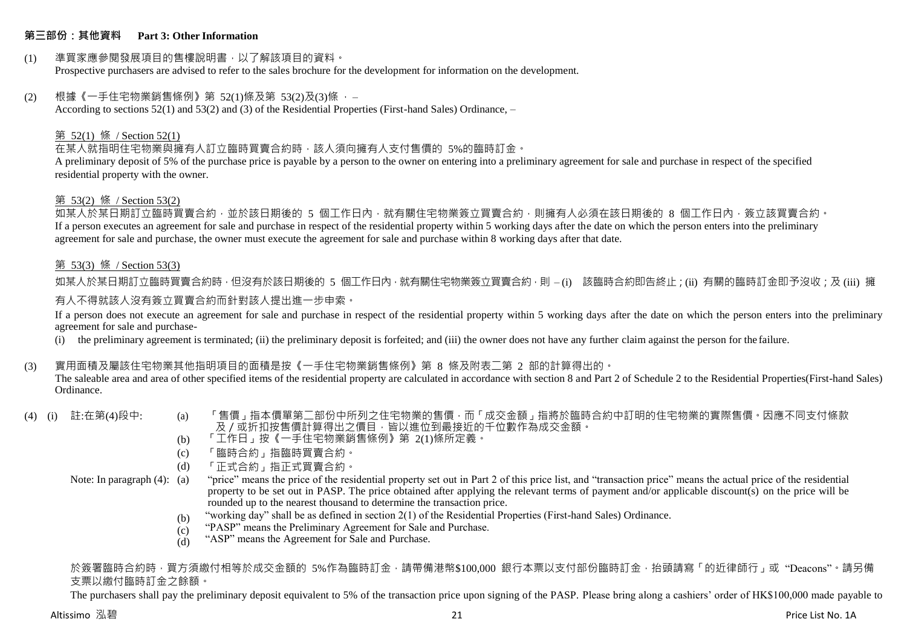### **第三部份:其他資料 Part 3: Other Information**

## (1) 準買家應參閱發展項目的售樓說明書,以了解該項目的資料。

Prospective purchasers are advised to refer to the sales brochure for the development for information on the development.

#### (2) 根據《一手住宅物業銷售條例》第 52(1)條及第 53(2)及(3)條 ,–

According to sections 52(1) and 53(2) and (3) of the Residential Properties (First-hand Sales) Ordinance, –

#### 第 52(1) 條 / Section 52(1)

#### 在某人就指明住宅物業與擁有人訂立臨時買賣合約時,該人須向擁有人支付售價的 5%的臨時訂金。

A preliminary deposit of 5% of the purchase price is payable by a person to the owner on entering into a preliminary agreement for sale and purchase in respect of the specified residential property with the owner.

#### 第 53(2) 條 / Section 53(2)

如某人於某日期訂立臨時買賣合約,並於該日期後的 5 個工作日內,就有關住宅物業簽立買賣合約,則擁有人必須在該日期後的 8 個工作日內,簽立該買賣合約。 If a person executes an agreement for sale and purchase in respect of the residential property within 5 working days after the date on which the person enters into the preliminary agreement for sale and purchase, the owner must execute the agreement for sale and purchase within 8 working days after that date.

#### 第 53(3) 條 / Section 53(3)

如某人於某日期訂立臨時買賣合約時,但沒有於該日期後的 5 個工作日內,就有關住宅物業簽立買賣合約,則 – (i) 該臨時合約即告終止;(ii) 有關的臨時訂金即予沒收;及 (iii) 擁

#### 有人不得就該人沒有簽立買賣合約而針對該人提出進一步申索。

If a person does not execute an agreement for sale and purchase in respect of the residential property within 5 working days after the date on which the person enters into the preliminary agreement for sale and purchase-

(i) the preliminary agreement is terminated; (ii) the preliminary deposit is forfeited; and (iii) the owner does not have any further claim against the person for the failure.

#### (3) 實用面積及屬該住宅物業其他指明項目的面積是按《一手住宅物業銷售條例》第 8 條及附表二第 2 部的計算得出的。

The saleable area and area of other specified items of the residential property are calculated in accordance with section 8 and Part 2 of Schedule 2 to the Residential Properties(First-hand Sales) Ordinance.

- 
- (4) (i) 註:在第(4)段中: (a) 「售價」指本價單第二部份中所列之住宅物業的售價,而「成交金額」指將於臨時合約中訂明的住宅物業的實際售價。因應不同支付條款 及/或折扣按售價計算得出之價目,皆以進位到最接近的千位數作為成交金額。
	- (b) 「工作日」按《一手住宅物業銷售條例》第 2(1)條所定義。
	- (c) 「臨時合約」指臨時買賣合約。
	- $(d)$ 「正式合約」指正式買賣合約。

#### Note: In paragraph (4): (a)

"price" means the price of the residential property set out in Part 2 of this price list, and "transaction price" means the actual price of the residential property to be set out in PASP. The price obtained after applying the relevant terms of payment and/or applicable discount(s) on the price will be rounded up to the nearest thousand to determine the transaction price.

- $(h)$ "working day" shall be as defined in section 2(1) of the Residential Properties (First-hand Sales) Ordinance.
- $(c)$ "PASP" means the Preliminary Agreement for Sale and Purchase.
- (d) "ASP" means the Agreement for Sale and Purchase.

#### 於簽署臨時合約時,買方須繳付相等於成交金額的 5%作為臨時訂金,請帶備港幣\$100,000 銀行本票以支付部份臨時訂金,抬頭請寫「的近律師行」或"Deacons"。請另備 支票以繳付臨時訂金之餘額。

The purchasers shall pay the preliminary deposit equivalent to 5% of the transaction price upon signing of the PASP. Please bring along a cashiers' order of HK\$100,000 made payable to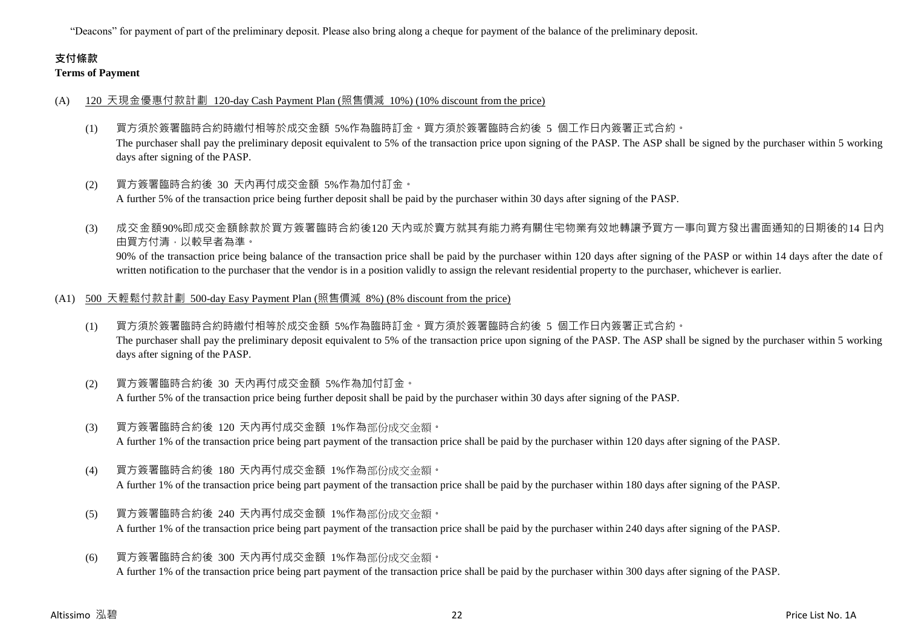"Deacons" for payment of part of the preliminary deposit. Please also bring along a cheque for payment of the balance of the preliminary deposit.

## **支付條款 Terms of Payment**

#### (A) 120 天現金優惠付款計劃 120-day Cash Payment Plan (照售價減 10%) (10% discount from the price)

- (1) 買方須於簽署臨時合約時繳付相等於成交金額 5%作為臨時訂金。買方須於簽署臨時合約後 5 個工作日內簽署正式合約。 The purchaser shall pay the preliminary deposit equivalent to 5% of the transaction price upon signing of the PASP. The ASP shall be signed by the purchaser within 5 working days after signing of the PASP.
- (2) 買方簽署臨時合約後 30 天內再付成交金額 5%作為加付訂金。 A further 5% of the transaction price being further deposit shall be paid by the purchaser within 30 days after signing of the PASP.
- (3) 成交金額90%即成交金額餘款於買方簽署臨時合約後120 天內或於賣方就其有能力將有關住宅物業有效地轉讓予買方一事向買方發出書面通知的日期後的14 日內 由買方付清,以較早者為準。

90% of the transaction price being balance of the transaction price shall be paid by the purchaser within 120 days after signing of the PASP or within 14 days after the date of written notification to the purchaser that the vendor is in a position validly to assign the relevant residential property to the purchaser, whichever is earlier.

- (A1) 500 天輕鬆付款計劃 500-day Easy Payment Plan (照售價減 8%) (8% discount from the price)
	- (1) 買方須於簽署臨時合約時繳付相等於成交金額 5%作為臨時訂金。買方須於簽署臨時合約後 5 個工作日內簽署正式合約。 The purchaser shall pay the preliminary deposit equivalent to 5% of the transaction price upon signing of the PASP. The ASP shall be signed by the purchaser within 5 working days after signing of the PASP.
	- (2) 買方簽署臨時合約後 30 天內再付成交金額 5%作為加付訂金。 A further 5% of the transaction price being further deposit shall be paid by the purchaser within 30 days after signing of the PASP.
	- (3) 買方簽署臨時合約後 120 天內再付成交金額 1%作為部份成交金額。 A further 1% of the transaction price being part payment of the transaction price shall be paid by the purchaser within 120 days after signing of the PASP.
	- (4) 買方簽署臨時合約後 180 天內再付成交金額 1%作為部份成交金額。 A further 1% of the transaction price being part payment of the transaction price shall be paid by the purchaser within 180 days after signing of the PASP.
	- (5) 買方簽署臨時合約後 240 天內再付成交金額 1%作為部份成交金額。 A further 1% of the transaction price being part payment of the transaction price shall be paid by the purchaser within 240 days after signing of the PASP.
	- (6) 買方簽署臨時合約後 300 天內再付成交金額 1%作為部份成交金額。 A further 1% of the transaction price being part payment of the transaction price shall be paid by the purchaser within 300 days after signing of the PASP.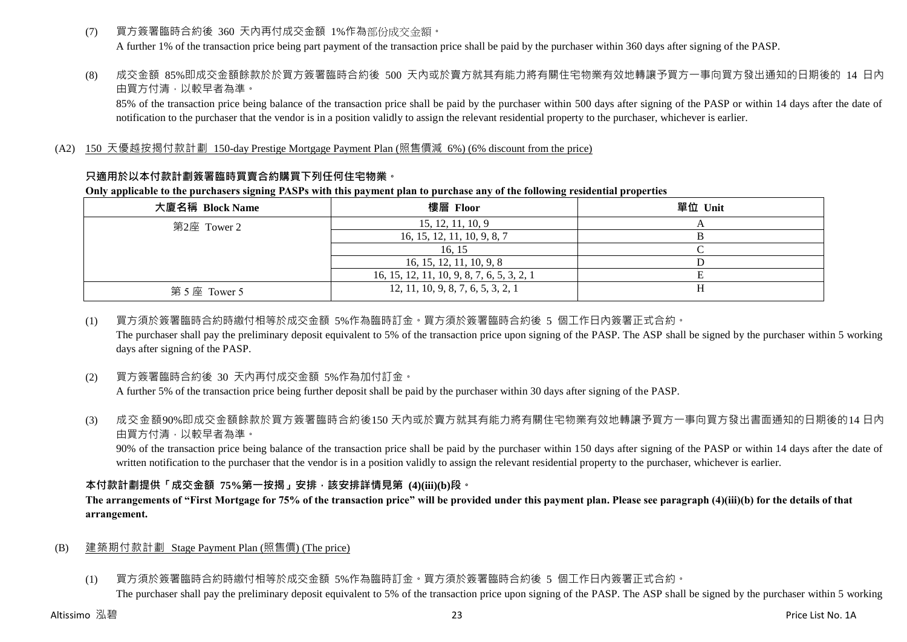- (7) 買方簽署臨時合約後 360 天內再付成交金額 1%作為部份成交金額。 A further 1% of the transaction price being part payment of the transaction price shall be paid by the purchaser within 360 days after signing of the PASP.
- (8) 成交金額 85%即成交金額餘款於於買方簽署臨時合約後 500 天內或於賣方就其有能力將有關住宅物業有效地轉讓予買方一事向買方發出通知的日期後的 14 日內 由買方付清,以較早者為準。

85% of the transaction price being balance of the transaction price shall be paid by the purchaser within 500 days after signing of the PASP or within 14 days after the date of notification to the purchaser that the vendor is in a position validly to assign the relevant residential property to the purchaser, whichever is earlier.

## (A2) 150 天優越按揭付款計劃 150-day Prestige Mortgage Payment Plan (照售價減 6%) (6% discount from the price)

## **只適用於以本付款計劃簽署臨時買賣合約購買下列任何住宅物業。**

#### **Only applicable to the purchasers signing PASPs with this payment plan to purchase any of the following residential properties**

| 大廈名稱 Block Name | 樓層 Floor                                   | 單位 Unit |
|-----------------|--------------------------------------------|---------|
| 第2座 Tower 2     | 15, 12, 11, 10, 9                          |         |
|                 | 16, 15, 12, 11, 10, 9, 8, 7                |         |
|                 | 16.15                                      |         |
|                 | 16, 15, 12, 11, 10, 9, 8                   |         |
|                 | 16, 15, 12, 11, 10, 9, 8, 7, 6, 5, 3, 2, 1 |         |
| 第5座 Tower 5     | 12, 11, 10, 9, 8, 7, 6, 5, 3, 2, 1         |         |

### (1) 買方須於簽署臨時合約時繳付相等於成交金額 5%作為臨時訂金。買方須於簽署臨時合約後 5 個工作日內簽署正式合約。

The purchaser shall pay the preliminary deposit equivalent to 5% of the transaction price upon signing of the PASP. The ASP shall be signed by the purchaser within 5 working days after signing of the PASP.

## (2) 買方簽署臨時合約後 30 天內再付成交金額 5%作為加付訂金。

A further 5% of the transaction price being further deposit shall be paid by the purchaser within 30 days after signing of the PASP.

(3) 成交金額90%即成交金額餘款於買方簽署臨時合約後150 天內或於賣方就其有能力將有關住宅物業有效地轉讓予買方一事向買方發出書面通知的日期後的14 日內 由買方付清,以較早者為準。

90% of the transaction price being balance of the transaction price shall be paid by the purchaser within 150 days after signing of the PASP or within 14 days after the date of written notification to the purchaser that the vendor is in a position validly to assign the relevant residential property to the purchaser, whichever is earlier.

## **本付款計劃提供「成交金額 75%第一按揭」安排,該安排詳情見第 (4)(iii)(b)段。**

## **The arrangements of "First Mortgage for 75% of the transaction price" will be provided under this payment plan. Please see paragraph (4)(iii)(b) for the details of that arrangement.**

## (B) 建築期付款計劃 Stage Payment Plan (照售價) (The price)

(1) 買方須於簽署臨時合約時繳付相等於成交金額 5%作為臨時訂金。買方須於簽署臨時合約後 5 個工作日內簽署正式合約。 The purchaser shall pay the preliminary deposit equivalent to 5% of the transaction price upon signing of the PASP. The ASP shall be signed by the purchaser within 5 working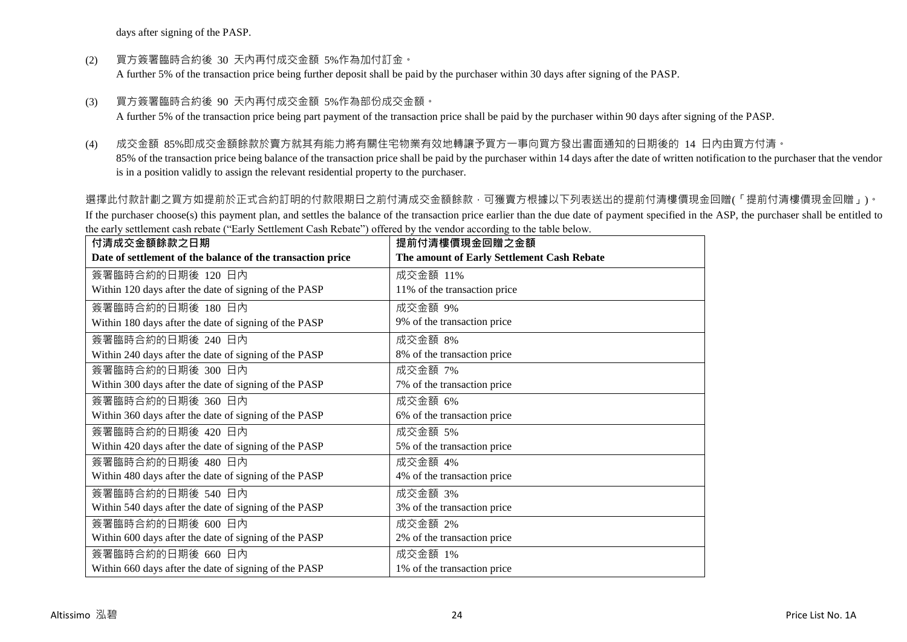days after signing of the PASP.

(2) 買方簽署臨時合約後 30 天內再付成交金額 5%作為加付訂金。

A further 5% of the transaction price being further deposit shall be paid by the purchaser within 30 days after signing of the PASP.

(3) 買方簽署臨時合約後 90 天內再付成交金額 5%作為部份成交金額。

A further 5% of the transaction price being part payment of the transaction price shall be paid by the purchaser within 90 days after signing of the PASP.

(4) 成交金額 85%即成交金額餘款於賣方就其有能力將有關住宅物業有效地轉讓予買方一事向買方發出書面通知的日期後的 14 日內由買方付清。

85% of the transaction price being balance of the transaction price shall be paid by the purchaser within 14 days after the date of written notification to the purchaser that the vendor is in a position validly to assign the relevant residential property to the purchaser.

選擇此付款計劃之買方如提前於正式合約訂明的付款限期日之前付清成交金額餘款,可獲賣方根據以下列表送出的提前付清樓價現金回贈(「提前付清樓價現金回贈」)。 If the purchaser choose(s) this payment plan, and settles the balance of the transaction price earlier than the due date of payment specified in the ASP, the purchaser shall be entitled to the early settlement cash rebate ("Early Settlement Cash Rebate") offered by the vendor according to the table below.

| 付清成交金額餘款之日期                                                | 提前付清樓價現金回贈之金額                              |
|------------------------------------------------------------|--------------------------------------------|
| Date of settlement of the balance of the transaction price | The amount of Early Settlement Cash Rebate |
| 簽署臨時合約的日期後 120 日內                                          | 成交金額 11%                                   |
| Within 120 days after the date of signing of the PASP      | 11% of the transaction price               |
| 簽署臨時合約的日期後 180 日內                                          | 成交金額 9%                                    |
| Within 180 days after the date of signing of the PASP      | 9% of the transaction price                |
| 簽署臨時合約的日期後 240 日內                                          | 成交金額 8%                                    |
| Within 240 days after the date of signing of the PASP      | 8% of the transaction price                |
| 簽署臨時合約的日期後 300 日內                                          | 成交金額 7%                                    |
| Within 300 days after the date of signing of the PASP      | 7% of the transaction price                |
| 簽署臨時合約的日期後 360 日內                                          | 成交金額 6%                                    |
| Within 360 days after the date of signing of the PASP      | 6% of the transaction price                |
| 簽署臨時合約的日期後 420 日內                                          | 成交金額 5%                                    |
| Within 420 days after the date of signing of the PASP      | 5% of the transaction price                |
| 簽署臨時合約的日期後 480 日內                                          | 成交金額 4%                                    |
| Within 480 days after the date of signing of the PASP      | 4% of the transaction price                |
| 簽署臨時合約的日期後 540 日內                                          | 成交金額 3%                                    |
| Within 540 days after the date of signing of the PASP      | 3% of the transaction price                |
| 簽署臨時合約的日期後 600 日內                                          | 成交金額 2%                                    |
| Within 600 days after the date of signing of the PASP      | 2% of the transaction price                |
| 簽署臨時合約的日期後 660 日內                                          | 成交金額 1%                                    |
| Within 660 days after the date of signing of the PASP      | 1% of the transaction price                |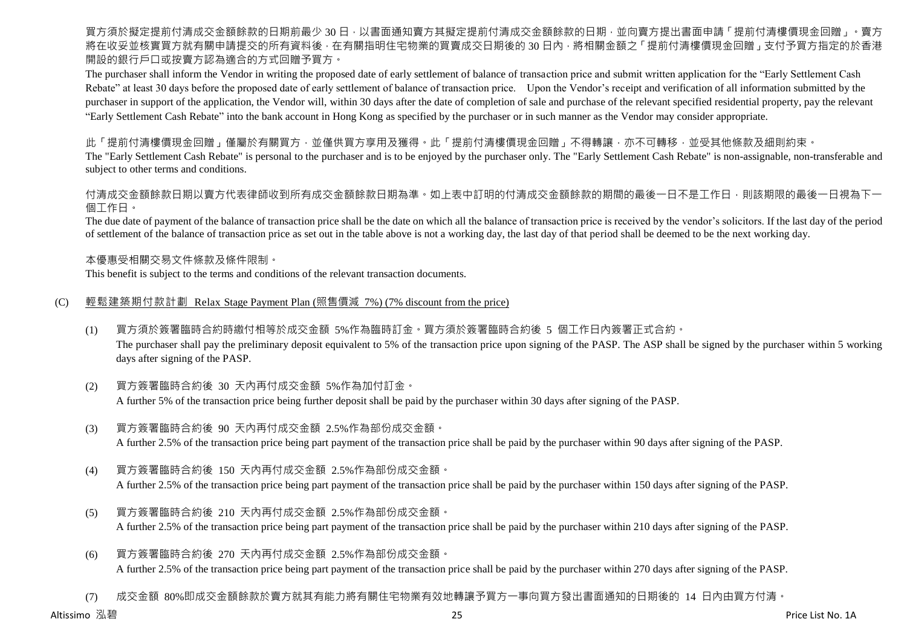買方須於擬定提前付清成交金額餘款的日期前最少 30 日,以書面通知賣方其擬定提前付清成交金額餘款的日期,並向賣方提出書面申請「提前付清樓價現金回贈」。賣方 將在收妥並核實買方就有關申請提交的所有資料後,在有關指明住宅物業的買賣成交日期後的 30 日內,將相關金額之「提前付清樓價現金回贈」支付予買方指定的於香港 開設的銀行戶口或按賣方認為適合的方式回贈予買方。

The purchaser shall inform the Vendor in writing the proposed date of early settlement of balance of transaction price and submit written application for the "Early Settlement Cash Rebate" at least 30 days before the proposed date of early settlement of balance of transaction price. Upon the Vendor's receipt and verification of all information submitted by the purchaser in support of the application, the Vendor will, within 30 days after the date of completion of sale and purchase of the relevant specified residential property, pay the relevant "Early Settlement Cash Rebate" into the bank account in Hong Kong as specified by the purchaser or in such manner as the Vendor may consider appropriate.

此「提前付清樓價現金回贈」僅屬於有關買方,並僅供買方享用及獲得。此「提前付清樓價現金回贈」不得轉讓,亦不可轉移,並受其他條款及細則約束。

The "Early Settlement Cash Rebate" is personal to the purchaser and is to be enjoyed by the purchaser only. The "Early Settlement Cash Rebate" is non-assignable, non-transferable and subject to other terms and conditions.

付清成交金額餘款日期以賣方代表律師收到所有成交金額餘款日期為準。如上表中訂明的付清成交金額餘款的期間的最後一日不是工作日,則該期限的最後一日視為下一 個工作日。

The due date of payment of the balance of transaction price shall be the date on which all the balance of transaction price is received by the vendor's solicitors. If the last day of the period of settlement of the balance of transaction price as set out in the table above is not a working day, the last day of that period shall be deemed to be the next working day.

本優惠受相關交易文件條款及條件限制。

This benefit is subject to the terms and conditions of the relevant transaction documents.

## (C) 輕鬆建築期付款計劃 Relax Stage Payment Plan (照售價減 7%) (7% discount from the price)

(1) 買方須於簽署臨時合約時繳付相等於成交金額 5%作為臨時訂金。買方須於簽署臨時合約後 5 個工作日內簽署正式合約。

The purchaser shall pay the preliminary deposit equivalent to 5% of the transaction price upon signing of the PASP. The ASP shall be signed by the purchaser within 5 working days after signing of the PASP.

- (2) 買方簽署臨時合約後 30 天內再付成交金額 5%作為加付訂金。 A further 5% of the transaction price being further deposit shall be paid by the purchaser within 30 days after signing of the PASP.
- (3) 買方簽署臨時合約後 90 天內再付成交金額 2.5%作為部份成交金額。 A further 2.5% of the transaction price being part payment of the transaction price shall be paid by the purchaser within 90 days after signing of the PASP.
- (4) 買方簽署臨時合約後 150 天內再付成交金額 2.5%作為部份成交金額。 A further 2.5% of the transaction price being part payment of the transaction price shall be paid by the purchaser within 150 days after signing of the PASP.
- (5) 買方簽署臨時合約後 210 天內再付成交金額 2.5%作為部份成交金額。 A further 2.5% of the transaction price being part payment of the transaction price shall be paid by the purchaser within 210 days after signing of the PASP.
- (6) 買方簽署臨時合約後 270 天內再付成交金額 2.5%作為部份成交金額。 A further 2.5% of the transaction price being part payment of the transaction price shall be paid by the purchaser within 270 days after signing of the PASP.

(7) 成交金額 80%即成交金額餘款於賣方就其有能力將有關住宅物業有效地轉讓予買方一事向買方發出書面通知的日期後的 14 日內由買方付清。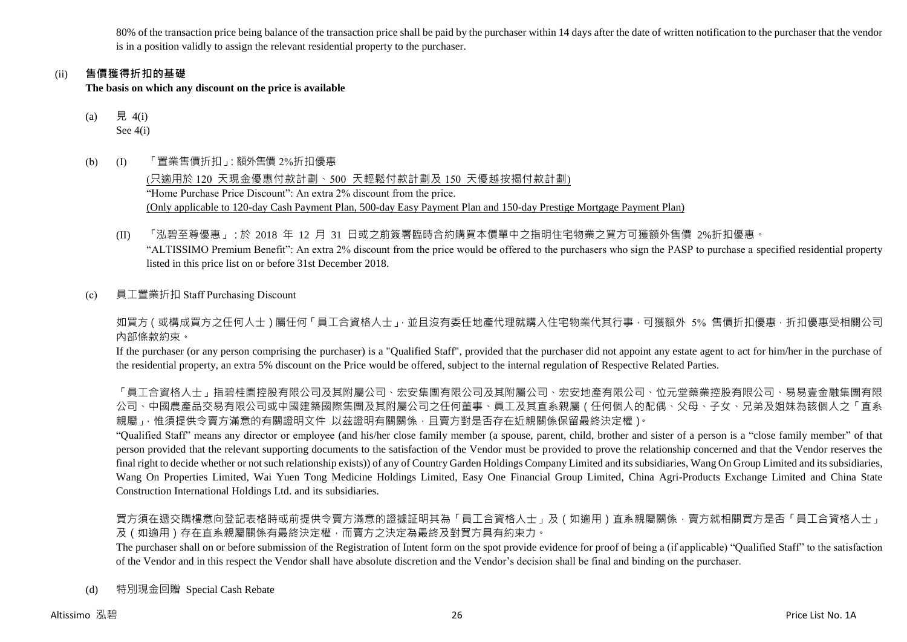80% of the transaction price being balance of the transaction price shall be paid by the purchaser within 14 days after the date of written notification to the purchaser that the vendor is in a position validly to assign the relevant residential property to the purchaser.

## (ii) **售價獲得折扣的基礎**

**The basis on which any discount on the price is available**

- (a) 見 4(i) See 4(i)
- (b) (I) 「置業售價折扣」:額外售價 2%折扣優惠

(只適用於 120 天現金優惠付款計劃、500 天輕鬆付款計劃及 150 天優越按揭付款計劃) "Home Purchase Price Discount": An extra 2% discount from the price. (Only applicable to 120-day Cash Payment Plan, 500-day Easy Payment Plan and 150-day Prestige Mortgage Payment Plan)

- (II) 「泓碧至尊優惠」:於 2018 年 12 月 31 日或之前簽署臨時合約購買本價單中之指明住宅物業之買方可獲額外售價 2%折扣優惠。 "ALTISSIMO Premium Benefit": An extra 2% discount from the price would be offered to the purchasers who sign the PASP to purchase a specified residential property listed in this price list on or before 31st December 2018.
- (c) 員工置業折扣 Staff Purchasing Discount

如買方(或構成買方之任何人士)屬任何「員工合資格人士」,並且沒有委任地產代理就購入住宅物業代其行事,可獲額外 5% 售價折扣優惠,折扣優惠受相關公司 內部條款約束。

If the purchaser (or any person comprising the purchaser) is a "Qualified Staff", provided that the purchaser did not appoint any estate agent to act for him/her in the purchase of the residential property, an extra 5% discount on the Price would be offered, subject to the internal regulation of Respective Related Parties.

「員工合資格人士」指碧桂園控股有限公司及其附屬公司、宏安集團有限公司及其附屬公司、宏安地產有限公司、位元堂藥業控股有限公司、易易壹金融集團有限 公司、中國農產品交易有限公司或中國建築國際集團及其附屬公司之任何董事、員工及其直系親屬(任何個人的配偶、父母、子女、兄弟及姐妹為該個人之「直系 親屬」,惟須提供令賣方滿意的有關證明文件 以茲證明有關關係,且賣方對是否存在近親關係保留最終決定權)。

"Qualified Staff" means any director or employee (and his/her close family member (a spouse, parent, child, brother and sister of a person is a "close family member" of that person provided that the relevant supporting documents to the satisfaction of the Vendor must be provided to prove the relationship concerned and that the Vendor reserves the final right to decide whether or not such relationship exists)) of any of Country Garden Holdings Company Limited and its subsidiaries, Wang On Group Limited and its subsidiaries, Wang On Properties Limited, Wai Yuen Tong Medicine Holdings Limited, Easy One Financial Group Limited, China Agri-Products Exchange Limited and China State Construction International Holdings Ltd. and its subsidiaries.

買方須在遞交購樓意向登記表格時或前提供令賣方滿意的證據証明其為「員工合資格人士」及(如適用)直系親屬關係,賣方就相關買方是否「員工合資格人士」 及(如適用)存在直系親屬關係有最終決定權,而賣方之決定為最終及對買方具有約束力。

The purchaser shall on or before submission of the Registration of Intent form on the spot provide evidence for proof of being a (if applicable) "Qualified Staff" to the satisfaction of the Vendor and in this respect the Vendor shall have absolute discretion and the Vendor's decision shall be final and binding on the purchaser.

(d) 特別現金回贈 Special Cash Rebate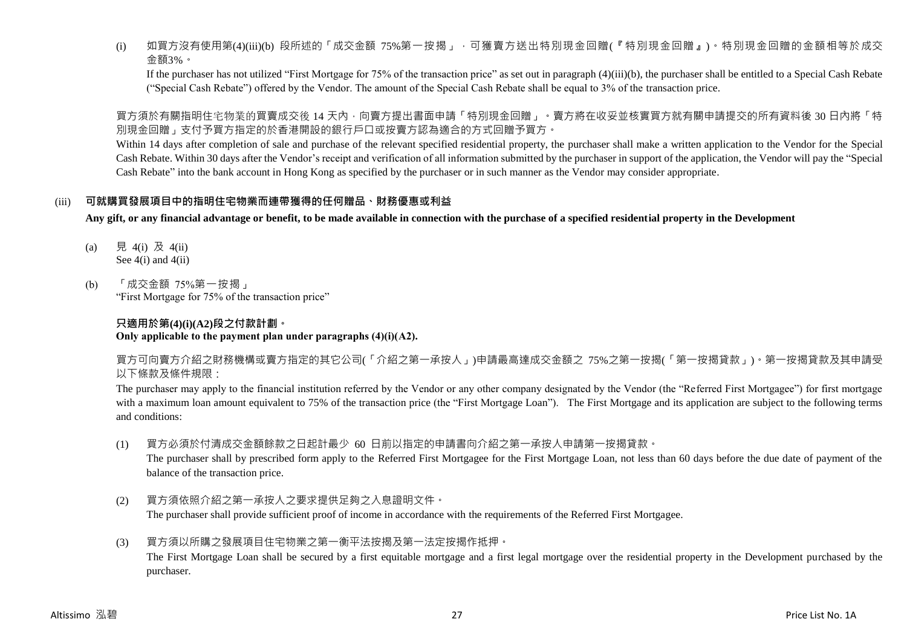(i) 如買方沒有使用第(4)(iii)(b) 段所述的「成交金額 75%第一按揭」,可獲賣方送出特別現金回贈(『特別現金回贈』)。特別現金回贈的金額相等於成交 金額3%。

If the purchaser has not utilized "First Mortgage for 75% of the transaction price" as set out in paragraph (4)(iii)(b), the purchaser shall be entitled to a Special Cash Rebate ("Special Cash Rebate") offered by the Vendor. The amount of the Special Cash Rebate shall be equal to 3% of the transaction price.

買方須於有關指明住宅物業的買賣成交後 14 天內,向賣方提出書面申請「特別現金回贈」。賣方將在收妥並核實買方就有關申請提交的所有資料後 30 日內將「特 別現金回贈」支付予買方指定的於香港開設的銀行戶口或按賣方認為適合的方式回贈予買方。

Within 14 days after completion of sale and purchase of the relevant specified residential property, the purchaser shall make a written application to the Vendor for the Special Cash Rebate. Within 30 days after the Vendor's receipt and verification of all information submitted by the purchaser in support of the application, the Vendor will pay the "Special Cash Rebate" into the bank account in Hong Kong as specified by the purchaser or in such manner as the Vendor may consider appropriate.

## (iii) **可就購買發展項目中的指明住宅物業而連帶獲得的任何贈品、財務優惠或利益**

**Any gift, or any financial advantage or benefit, to be made available in connection with the purchase of a specified residential property in the Development**

- (a) 見 4(i) 及 4(ii) See  $4(i)$  and  $4(ii)$
- (b) 「成交金額 75%第一按揭」 "First Mortgage for 75% of the transaction price"

## **只適用於第(4)(i)(A2)段之付款計劃。 Only applicable to the payment plan under paragraphs (4)(i)(A2).**

買方可向賣方介紹之財務機構或賣方指定的其它公司(「介紹之第一承按人」)申請最高達成交金額之 75%之第一按揭(「第一按揭貸款」)。第一按揭貸款及其申請受 以下條款及條件規限:

The purchaser may apply to the financial institution referred by the Vendor or any other company designated by the Vendor (the "Referred First Mortgagee") for first mortgage with a maximum loan amount equivalent to 75% of the transaction price (the "First Mortgage Loan"). The First Mortgage and its application are subject to the following terms and conditions:

(1) 買方必須於付清成交金額餘款之日起計最少 60 日前以指定的申請書向介紹之第一承按人申請第一按揭貸款。

The purchaser shall by prescribed form apply to the Referred First Mortgagee for the First Mortgage Loan, not less than 60 days before the due date of payment of the balance of the transaction price.

- (2) 買方須依照介紹之第一承按人之要求提供足夠之入息證明文件。 The purchaser shall provide sufficient proof of income in accordance with the requirements of the Referred First Mortgagee.
- (3) 買方須以所購之發展項目住宅物業之第一衡平法按揭及第一法定按揭作抵押。 The First Mortgage Loan shall be secured by a first equitable mortgage and a first legal mortgage over the residential property in the Development purchased by the purchaser.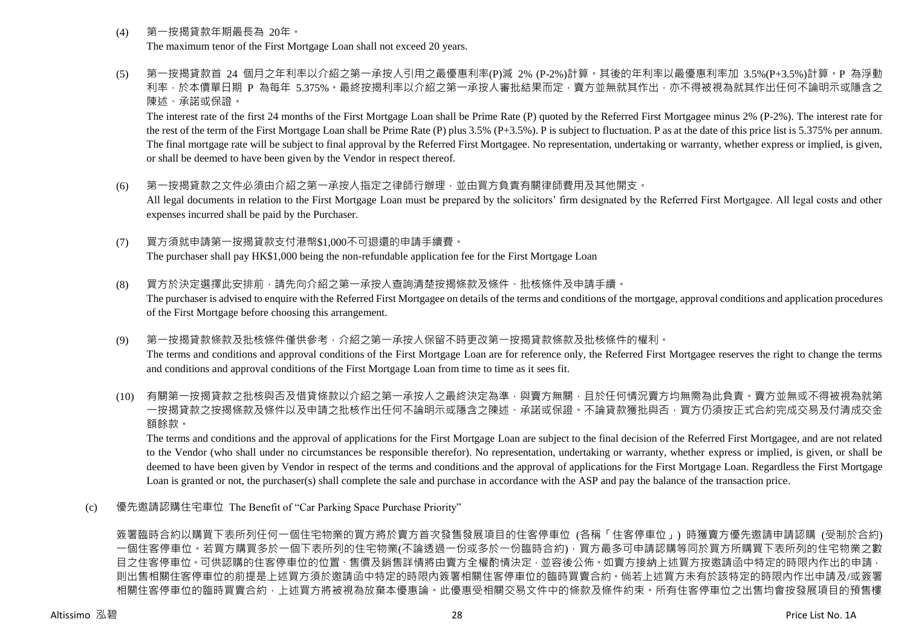- (4) 第一按揭貸款年期最長為 20年。 The maximum tenor of the First Mortgage Loan shall not exceed 20 years.
- (5) 第一按揭貸款首 24 個月之年利率以介紹之第一承按人引用之最優惠利率(P)減 2% (P-2%)計算。其後的年利率以最優惠利率加 3.5%(P+3.5%)計算。P 為浮動 利率,於本價單日期 P 為每年 5.375%。最終按揭利率以介紹之第一承按人審批結果而定,賣方並無就其作出,亦不得被視為就其作出任何不論明示或隱含之 陳述、承諾或保證。

The interest rate of the first 24 months of the First Mortgage Loan shall be Prime Rate (P) quoted by the Referred First Mortgagee minus 2% (P-2%). The interest rate for the rest of the term of the First Mortgage Loan shall be Prime Rate (P) plus 3.5% (P+3.5%). P is subject to fluctuation. P as at the date of this price list is 5.375% per annum. The final mortgage rate will be subject to final approval by the Referred First Mortgagee. No representation, undertaking or warranty, whether express or implied, is given, or shall be deemed to have been given by the Vendor in respect thereof.

- (6) 第一按揭貸款之文件必須由介紹之第一承按人指定之律師行辦理,並由買方負責有關律師費用及其他開支。 All legal documents in relation to the First Mortgage Loan must be prepared by the solicitors' firm designated by the Referred First Mortgagee. All legal costs and other expenses incurred shall be paid by the Purchaser.
- (7) 買方須就申請第一按揭貸款支付港幣\$1,000不可退還的申請手續費。 The purchaser shall pay HK\$1,000 being the non-refundable application fee for the First Mortgage Loan
- (8) 買方於決定選擇此安排前,請先向介紹之第一承按人查詢清楚按揭條款及條件、批核條件及申請手續。 The purchaser is advised to enquire with the Referred First Mortgagee on details of the terms and conditions of the mortgage, approval conditions and application procedures of the First Mortgage before choosing this arrangement.
- (9) 第一按揭貸款條款及批核條件僅供參考,介紹之第一承按人保留不時更改第一按揭貸款條款及批核條件的權利。 The terms and conditions and approval conditions of the First Mortgage Loan are for reference only, the Referred First Mortgagee reserves the right to change the terms and conditions and approval conditions of the First Mortgage Loan from time to time as it sees fit.
- (10) 有關第一按揭貸款之批核與否及借貸條款以介紹之第一承按人之最終決定為準,與賣方無關,且於任何情況賣方均無需為此負責。賣方並無或不得被視為就第 一按揭貸款之按揭條款及條件以及申請之批核作出任何不論明示或隱含之陳述、承諾或保證。不論貸款獲批與否,買方仍須按正式合約完成交易及付清成交金 額餘款。

The terms and conditions and the approval of applications for the First Mortgage Loan are subject to the final decision of the Referred First Mortgagee, and are not related to the Vendor (who shall under no circumstances be responsible therefor). No representation, undertaking or warranty, whether express or implied, is given, or shall be deemed to have been given by Vendor in respect of the terms and conditions and the approval of applications for the First Mortgage Loan. Regardless the First Mortgage Loan is granted or not, the purchaser(s) shall complete the sale and purchase in accordance with the ASP and pay the balance of the transaction price.

(c) 優先邀請認購住宅車位 The Benefit of "Car Parking Space Purchase Priority"

簽署臨時合約以購買下表所列任何一個住宅物業的買方將於賣方首次發售發展項目的住客停車位 (各稱「住客停車位」) 時獲賣方優先邀請申請認購 (受制於合約) 一個住客停車位。若買方購買多於一個下表所列的住宅物業(不論透過一份或多於一份臨時合約),買方最多可申請認購等同於買方所購買下表所列的住宅物業之數 目之住客停車位。可供認購的住客停車位的位置、售價及銷售詳情將由賣方全權酌情決定,並容後公佈。如賣方接納上述買方按邀請函中特定的時限內作出的申請, 則出售相關住客停車位的前提是上述買方須於邀請函中特定的時限內簽署相關住客停車位的臨時買賣合約。倘若上述買方未有於該特定的時限內作出申請及/或簽署 相關住客停車位的臨時買賣合約,上述買方將被視為放棄本優惠論。此優惠受相關交易文件中的條款及條件約束。所有住客停車位之出售均會按發展項目的預售樓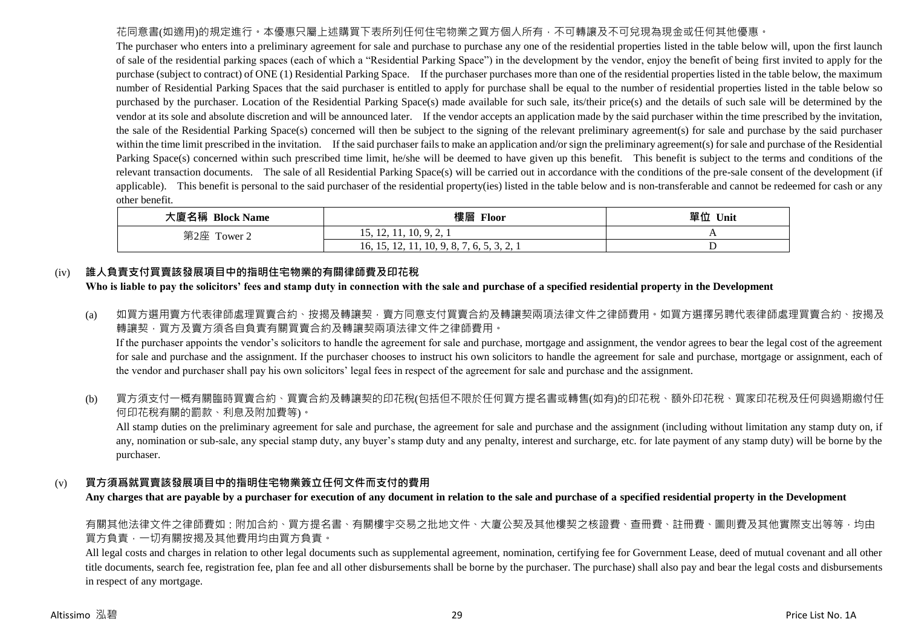## 花同意書(如適用)的規定進行。本優惠只屬上述購買下表所列任何住宅物業之買方個人所有,不可轉讓及不可兌現為現金或任何其他優惠。

The purchaser who enters into a preliminary agreement for sale and purchase to purchase any one of the residential properties listed in the table below will, upon the first launch of sale of the residential parking spaces (each of which a "Residential Parking Space") in the development by the vendor, enjoy the benefit of being first invited to apply for the purchase (subject to contract) of ONE (1) Residential Parking Space. If the purchaser purchases more than one of the residential properties listed in the table below, the maximum number of Residential Parking Spaces that the said purchaser is entitled to apply for purchase shall be equal to the number of residential properties listed in the table below so purchased by the purchaser. Location of the Residential Parking Space(s) made available for such sale, its/their price(s) and the details of such sale will be determined by the vendor at its sole and absolute discretion and will be announced later. If the vendor accepts an application made by the said purchaser within the time prescribed by the invitation, the sale of the Residential Parking Space(s) concerned will then be subject to the signing of the relevant preliminary agreement(s) for sale and purchase by the said purchaser within the time limit prescribed in the invitation. If the said purchaser fails to make an application and/or sign the preliminary agreement(s) for sale and purchase of the Residential Parking Space(s) concerned within such prescribed time limit, he/she will be deemed to have given up this benefit. This benefit is subject to the terms and conditions of the relevant transaction documents. The sale of all Residential Parking Space(s) will be carried out in accordance with the conditions of the pre-sale consent of the development (if applicable). This benefit is personal to the said purchaser of the residential property(ies) listed in the table below and is non-transferable and cannot be redeemed for cash or any other benefit.

| 大廈名稱 Block Name | 樓層<br><b>Floor</b>                                    | 單位<br>Unit |
|-----------------|-------------------------------------------------------|------------|
| 第2座<br>Tower 2  | 15, 12, 11, 10, 9, 2,                                 |            |
|                 | . A . A<br>16, 15, 12, 11, 10, 9, 8, 7, 6, 5, 5, 2, 1 |            |

## (iv) **誰人負責支付買賣該發展項目中的指明住宅物業的有關律師費及印花稅**

## **Who is liable to pay the solicitors' fees and stamp duty in connection with the sale and purchase of a specified residential property in the Development**

(a) 如買方選用賣方代表律師處理買賣合約、按揭及轉讓契,賣方同意支付買賣合約及轉讓契兩項法律文件之律師費用。如買方選擇另聘代表律師處理買賣合約、按揭及 轉讓契,買方及賣方須各自負責有關買賣合約及轉讓契兩項法律文件之律師費用。

If the purchaser appoints the vendor's solicitors to handle the agreement for sale and purchase, mortgage and assignment, the vendor agrees to bear the legal cost of the agreement for sale and purchase and the assignment. If the purchaser chooses to instruct his own solicitors to handle the agreement for sale and purchase, mortgage or assignment, each of the vendor and purchaser shall pay his own solicitors' legal fees in respect of the agreement for sale and purchase and the assignment.

(b) 買方須支付一概有關臨時買賣合約、買賣合約及轉讓契的印花稅(包括但不限於任何買方提名書或轉售(如有)的印花稅、額外印花稅、買家印花稅及任何與過期繳付任 何印花稅有關的罰款、利息及附加費等)。

All stamp duties on the preliminary agreement for sale and purchase, the agreement for sale and purchase and the assignment (including without limitation any stamp duty on, if any, nomination or sub-sale, any special stamp duty, any buyer's stamp duty and any penalty, interest and surcharge, etc. for late payment of any stamp duty) will be borne by the purchaser.

## (v) **買方須爲就買賣該發展項目中的指明住宅物業簽立任何文件而支付的費用**

**Any charges that are payable by a purchaser for execution of any document in relation to the sale and purchase of a specified residential property in the Development**

有關其他法律文件之律師費如:附加合約、買方提名書、有關樓宇交易之批地文件、大廈公契及其他樓契之核證費、查冊費、註冊費、圖則費及其他實際支出等等,均由 買方負責,一切有關按揭及其他費用均由買方負責。

All legal costs and charges in relation to other legal documents such as supplemental agreement, nomination, certifying fee for Government Lease, deed of mutual covenant and all other title documents, search fee, registration fee, plan fee and all other disbursements shall be borne by the purchaser. The purchase) shall also pay and bear the legal costs and disbursements in respect of any mortgage.